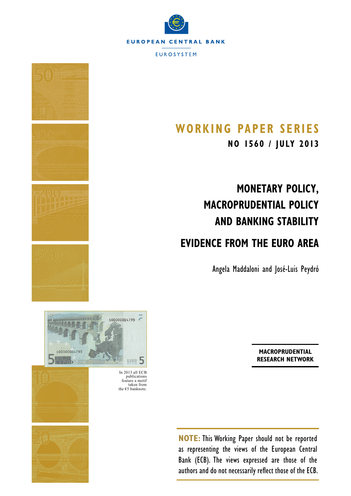



# **Working Paper S erieS**

**NO 1560 / july 2013**

# **Monetary Policy, Macroprudential Policy and Banking Stability**

# **Evidence from the Euro Area**

Angela Maddaloni and José-Luis Peydró

**Macroprudential [Research Network](http://www.ecb.int/home/html/researcher_mars.en.html)**

**NOTE:** This Working Paper should not be reported as representing the views of the European Central Bank (ECB). The views expressed are those of the authors and do not necessarily reflect those of the ECB.



publications feature a motif taken from the  $€5$  banknote.



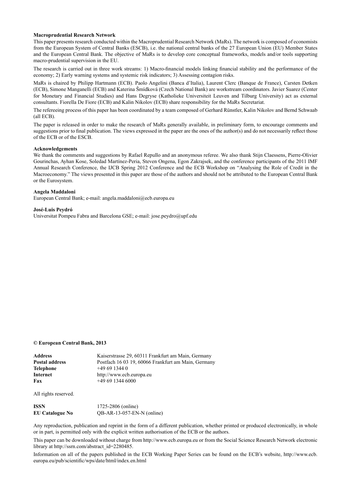#### **Macroprudential Research Network**

This paper presents research conducted within the Macroprudential Research Network (MaRs). The network is composed of economists from the European System of Central Banks (ESCB), i.e. the national central banks of the 27 European Union (EU) Member States and the European Central Bank. The objective of MaRs is to develop core conceptual frameworks, models and/or tools supporting macro-prudential supervision in the EU.

The research is carried out in three work streams: 1) Macro-financial models linking financial stability and the performance of the economy; 2) Early warning systems and systemic risk indicators; 3) Assessing contagion risks.

MaRs is chaired by Philipp Hartmann (ECB). Paolo Angelini (Banca d'Italia), Laurent Clerc (Banque de France), Carsten Detken (ECB), Simone Manganelli (ECB) and Katerina Šmídková (Czech National Bank) are workstream coordinators. Javier Suarez (Center for Monetary and Financial Studies) and Hans Degryse (Katholieke Universiteit Leuven and Tilburg University) act as external consultants. Fiorella De Fiore (ECB) and Kalin Nikolov (ECB) share responsibility for the MaRs Secretariat.

The refereeing process of this paper has been coordinated by a team composed of Gerhard Rünstler, Kalin Nikolov and Bernd Schwaab (all ECB).

The paper is released in order to make the research of MaRs generally available, in preliminary form, to encourage comments and suggestions prior to final publication. The views expressed in the paper are the ones of the author(s) and do not necessarily reflect those of the ECB or of the ESCB.

#### **Acknowledgements**

We thank the comments and suggestions by Rafael Repullo and an anonymous referee. We also thank Stijn Claessens, Pierre-Olivier Gourinchas, Ayhan Kose, Soledad Martínez-Peria, Steven Ongena, Egon Zakrajsek, and the conference participants of the 2011 IMF Annual Research Conference, the IJCB Spring 2012 Conference and the ECB Workshop on "Analysing the Role of Credit in the Macroeconomy." The views presented in this paper are those of the authors and should not be attributed to the European Central Bank or the Eurosystem.

#### **Angela Maddaloni**

[European Central Bank](http://www.ecb.europa.eu/home/html/index.en.html); e-mail: [angela.maddaloni@ecb.europa.eu](mailto:angela.maddaloni%40ecb.europa.eu?subject=)

#### **José-Luis Peydró**

[Universitat Pompeu Fabra](http://www.upf.edu/en/) and [Barcelona GSE](http://www.barcelonagse.eu/); e-mail: [jose.peydro@upf.edu](mailto:jose.peydro%40upf.edu?subject=)

#### **© European Central Bank, 2013**

| <b>Address</b>        | Kaiserstrasse 29, 60311 Frankfurt am Main, Germany  |
|-----------------------|-----------------------------------------------------|
| <b>Postal address</b> | Postfach 16 03 19, 60066 Frankfurt am Main, Germany |
| <b>Telephone</b>      | $+496913440$                                        |
| Internet              | http://www.ecb.europa.eu                            |
| Fax                   | $+496913446000$                                     |
|                       |                                                     |

All rights reserved.

| ISSN                   | 1725-2806 (online)           |
|------------------------|------------------------------|
| <b>EU Catalogue No</b> | $QB-AR-13-057-EN-N$ (online) |

Any reproduction, publication and reprint in the form of a different publication, whether printed or produced electronically, in whole or in part, is permitted only with the explicit written authorisation of the ECB or the authors.

This paper can be downloaded without charge from http://www.ecb.europa.eu or from the Social Science Research Network electronic library at http://ssrn.com/abstract\_id=2280485.

Information on all of the papers published in the ECB Working Paper Series can be found on the ECB's website, [http://www.ecb.](http://www.ecb.europa.eu/pub/scientific/wps/date/html/index.en.html) [europa.eu/pub/scientific/wps/date/html/index.en.html](http://www.ecb.europa.eu/pub/scientific/wps/date/html/index.en.html)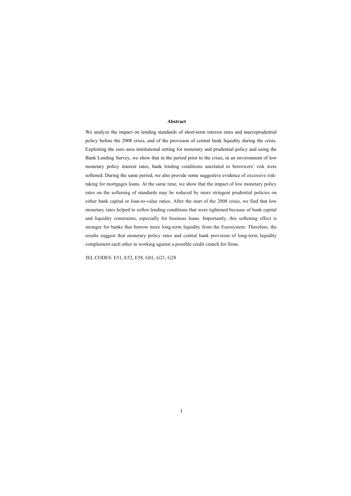## **Abstract**

We analyze the impact on lending standards of short-term interest rates and macroprudential policy before the 2008 crisis, and of the provision of central bank liquidity during the crisis. Exploiting the euro area institutional setting for monetary and prudential policy and using the Bank Lending Survey, we show that in the period prior to the crisis, in an environment of low monetary policy interest rates, bank lending conditions unrelated to borrowers' risk were softened. During the same period, we also provide some suggestive evidence of excessive risktaking for mortgages loans. At the same time, we show that the impact of low monetary policy rates on the softening of standards may be reduced by more stringent prudential policies on either bank capital or loan-to-value ratios. After the start of the 2008 crisis, we find that low monetary rates helped to soften lending conditions that were tightened because of bank capital and liquidity constraints, especially for business loans. Importantly, this softening effect is stronger for banks that borrow more long-term liquidity from the Eurosystem. Therefore, the results suggest that monetary policy rates and central bank provision of long-term liquidity complement each other in working against a possible credit crunch for firms.

JEL CODES: E51, E52, E58, G01, G21, G28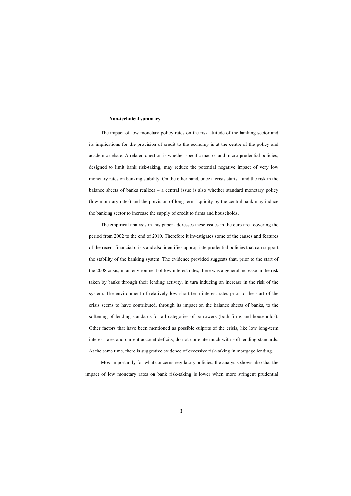#### **Non-technical summary**

The impact of low monetary policy rates on the risk attitude of the banking sector and its implications for the provision of credit to the economy is at the centre of the policy and academic debate. A related question is whether specific macro- and micro-prudential policies, designed to limit bank risk-taking, may reduce the potential negative impact of very low monetary rates on banking stability. On the other hand, once a crisis starts – and the risk in the balance sheets of banks realizes – a central issue is also whether standard monetary policy (low monetary rates) and the provision of long-term liquidity by the central bank may induce the banking sector to increase the supply of credit to firms and households.

The empirical analysis in this paper addresses these issues in the euro area covering the period from 2002 to the end of 2010. Therefore it investigates some of the causes and features of the recent financial crisis and also identifies appropriate prudential policies that can support the stability of the banking system. The evidence provided suggests that, prior to the start of the 2008 crisis, in an environment of low interest rates, there was a general increase in the risk taken by banks through their lending activity, in turn inducing an increase in the risk of the system. The environment of relatively low short-term interest rates prior to the start of the crisis seems to have contributed, through its impact on the balance sheets of banks, to the softening of lending standards for all categories of borrowers (both firms and households). Other factors that have been mentioned as possible culprits of the crisis, like low long-term interest rates and current account deficits, do not correlate much with soft lending standards. At the same time, there is suggestive evidence of excessive risk-taking in mortgage lending.

Most importantly for what concerns regulatory policies, the analysis shows also that the impact of low monetary rates on bank risk-taking is lower when more stringent prudential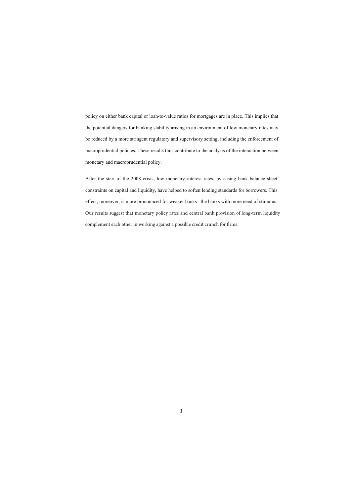policy on either bank capital or loan-to-value ratios for mortgages are in place. This implies that the potential dangers for banking stability arising in an environment of low monetary rates may be reduced by a more stringent regulatory and supervisory setting, including the enforcement of macroprudential policies. These results thus contribute to the analysis of the interaction between monetary and macroprudential policy.

After the start of the 2008 crisis, low monetary interest rates, by easing bank balance sheet constraints on capital and liquidity, have helped to soften lending standards for borrowers. This effect, moreover, is more pronounced for weaker banks –the banks with more need of stimulus. Our results suggest that monetary policy rates and central bank provision of long-term liquidity complement each other in working against a possible credit crunch for firms.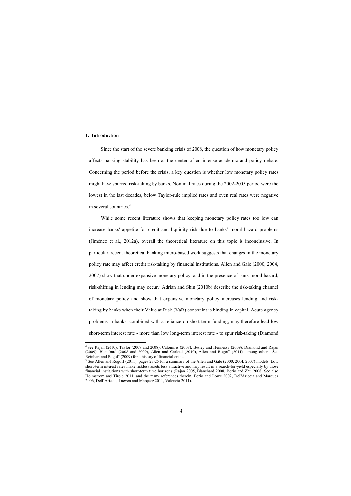# **1. Introduction**

1

Since the start of the severe banking crisis of 2008, the question of how monetary policy affects banking stability has been at the center of an intense academic and policy debate. Concerning the period before the crisis, a key question is whether low monetary policy rates might have spurred risk-taking by banks. Nominal rates during the 2002-2005 period were the lowest in the last decades, below Taylor-rule implied rates and even real rates were negative in several countries.<sup>2</sup>

While some recent literature shows that keeping monetary policy rates too low can increase banks' appetite for credit and liquidity risk due to banks' moral hazard problems (Jiménez et al., 2012a), overall the theoretical literature on this topic is inconclusive. In particular, recent theoretical banking micro-based work suggests that changes in the monetary policy rate may affect credit risk-taking by financial institutions. Allen and Gale (2000, 2004, 2007) show that under expansive monetary policy, and in the presence of bank moral hazard, risk-shifting in lending may occur.<sup>3</sup> Adrian and Shin (2010b) describe the risk-taking channel of monetary policy and show that expansive monetary policy increases lending and risktaking by banks when their Value at Risk (VaR) constraint is binding in capital. Acute agency problems in banks, combined with a reliance on short-term funding, may therefore lead low short-term interest rate - more than low long-term interest rate - to spur risk-taking (Diamond

 $2$  See Rajan (2010), Taylor (2007 and 2008), Calomiris (2008), Besley and Hennessy (2009), Diamond and Rajan (2009), Blanchard (2008 and 2009), Allen and Carletti (2010), Allen and Rogoff (2011), among others. See Reinhart and Rogoff (2009) for a history of financial crisis.

<sup>&</sup>lt;sup>3</sup> See Allen and Rogoff (2011), pages 23-25 for a summary of the Allen and Gale (2000, 2004, 2007) models. Low short-term interest rates make riskless assets less attractive and may result in a search-for-yield especially by those financial institutions with short-term time horizons (Rajan 2005, Blanchard 2008, Borio and Zhu 2008; See also Holmstrom and Tirole 2011, and the many references therein, Borio and Lowe 2002, Dell'Ariccia and Marquez 2006, Dell'Ariccia, Laeven and Marquez 2011, Valencia 2011).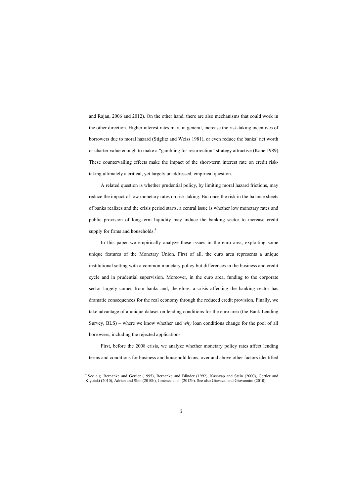and Rajan, 2006 and 2012). On the other hand, there are also mechanisms that could work in the other direction. Higher interest rates may, in general, increase the risk-taking incentives of borrowers due to moral hazard (Stiglitz and Weiss 1981), or even reduce the banks' net worth or charter value enough to make a "gambling for resurre[c](#page-6-0)tion" strategy attractive (Kane 1989). These countervailing effects make the impact of the short-term interest rate on credit risktaking ultimately a critical, yet largely unaddressed, empirical question.

A related question is whether prudential policy, by limiting moral hazard frictions, may reduce the impact of low monetary rates on risk-taking. But once the risk in the balance sheets of banks realizes and the crisis period starts, a central issue is whether low monetary rates and public provision of long-term liquidity may induce the banking sector to increase credit supply for firms and households.<sup>4</sup>

In this paper we empirically analyze these issues in the euro area, exploiting some unique features of the Monetary Union. First of all, the euro area represents a unique institutional setting with a common monetary policy but differences in the business and credit cycle and in prudential supervision. Moreover, in the euro area, funding to the corporate sector largely comes from banks and, therefore, a crisis affecting the banking sector has dramatic consequences for the real economy through the reduced credit provision. Finally, we take advantage of a unique dataset on lending conditions for the euro area (the Bank Lending Survey, BLS) – where we know whether and *why* loan conditions change for the pool of all borrowers, including the rejected applications.

First, before the 2008 crisis, we analyze whether monetary policy rates affect lending terms and conditions for business and household loans, over and above other factors identified

<span id="page-6-0"></span><sup>&</sup>lt;sup>4</sup> See e.g. Bernanke and Gertler (1995), Bernanke and Blinder (1992), Kashyap and Stein (2000), Gertler and Kiyotaki (2010), Adrian and Shin (2010b), Jiménez et al. (2012b). See also Giavazzi and Giovannini (2010).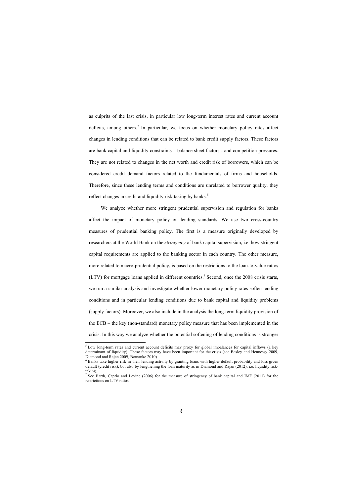as culprits of the last crisis, in particular low long-term interest rates and curr[en](#page-7-0)t account deficits, among others.<sup>5</sup> In particular, we focus on whether monetary policy rates affect changes in lending conditions that can be related to bank credit supply factors. These factors are bank capital and liquidity constraints – balance sheet factors - and competition pressures. They are not related to changes in the net worth and credit risk of borrowers, which can be considered credit demand factors related to the fundamentals of firms and households. Therefore, since these lending terms and conditions are unrelated to borrower quality, they reflect changes in credit and liquidity risk-taking by banks.<sup>6</sup>

We analyze whether more stringent prudential supervision and regulation for banks affect the impact of monetary policy on lending standards. We use two cross-country measures of prudential banking policy. The first is a measure originally developed by researchers at the World Bank on the *stringency* of bank capital supervision, i.e. how stringent capital requirements are applied to the banking sector in each country. The other measure, more related to macro-prudential policy, is based on the restrictions to the loan-to-value ratios  $(LTV)$  for mortgage loans applied in different countries.<sup>7</sup> Second, once the 2008 crisis starts, we run a similar analysis and investigate whether lower monetary policy rates soften lending conditions and in particular lending conditions due to bank capital and liquidity problems (supply factors). Moreover, we also include in the analysis the long-term liquidity provision of the ECB – the key (non-standard) monetary policy measure that has been implemented in the crisis. In this way we analyze whether the potential softening of lending conditions is stronger

<sup>&</sup>lt;sup>5</sup> Low long-term rates and current account deficits may proxy for global imbalances for capital inflows (a key determinant of liquidity). These factors may have been important for the crisis (see Besley and Hennessy 2009, Diamond and Rajan 2009, Bernanke 2010).

<sup>&</sup>lt;sup>6</sup> Banks take higher risk in their lending activity by granting loans with higher default probability and loss given default (credit risk), but also by lengthening the loan maturity as in Diamond and Rajan (2012), i.e. liquidity risktaking.

<span id="page-7-0"></span><sup>7</sup> See Barth, Caprio and Levine (2006) for the measure of stringency of bank capital and IMF (2011) for the restrictions on LTV ratios.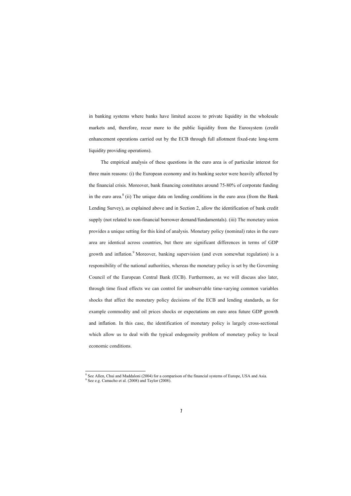in banking systems where banks have [l](#page-8-0)imited access to private liquidity in the wholesale markets and, therefore, recur more to the public liquidity from the Eurosystem (credit enhancement operations carried out by the ECB through full allotment fixed-rate long-term liquidity providing operations).

The empirical analysis of these questions in the euro area is of particular interest for three main reasons: (i) the European econom[y](#page-8-1) and its banking sector were heavily affected by the financial crisis. Moreover, bank financing constitutes around 75-80% of corporate funding in the euro area. $8$  (ii) The unique data on lending conditions in the euro area (from the Bank Lending Survey), as explained above and in Section 2, allow the identification of bank credit supply (not related to non-financial borrower demand/fundamentals). (iii) The monetary union provides a unique setting for this kind of analysis. Monetary policy (nominal) rates in the euro area are identical across countries, but there are significant differences in terms of GDP growth and inflation.<sup>9</sup> Moreover, banking supervision (and even somewhat regulation) is a responsibility of the national authorities, whereas the monetary policy is set by the Governing Council of the European Central Bank (ECB). Furthermore, as we will discuss also later, through time fixed effects we can control for unobservable time-varying common variables shocks that affect the monetary policy decisions of the ECB and lending standards, as for example commodity and oil prices shocks or expectations on euro area future GDP growth and inflation. In this case, the identification of monetary policy is largely cross-sectional which allow us to deal with the typical endogeneity problem of monetary policy to local economic conditions.

<sup>&</sup>lt;sup>8</sup> See Allen, Chui and Maddaloni (2004) for a comparison of the financial systems of Europe, USA and Asia.

<span id="page-8-1"></span><span id="page-8-0"></span><sup>9</sup> See e.g. Camacho et al. (2008) and Taylor (2008).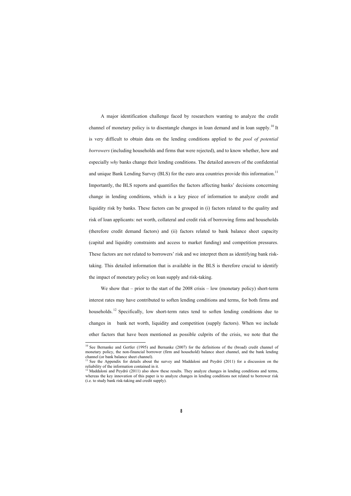A major identification challenge faced by researchers wanting to analyze the credit channel of monetary policy is to disentangle changes in loan demand and in loan supply.<sup>10</sup> It is very difficult to obtain data on the lending conditions applied to the *pool of potential borrowers* (including households and firms that were rejected), and to know whether, how and especially *why* banks change their lending conditions. The detailed answers of the confidential and unique Bank Lending Survey (BLS) for the euro area countries provide this information.<sup>11</sup> Importantly, the BLS reports and quantifies the factors affecting banks' decisions concerning change in lending conditions, which is a key piece of information to analyze credit and liquidity risk by banks. These factors can be grouped in (i) factors related to the quality and risk of loan applicants: net worth, collateral and credit risk of borrowing firms and households (therefore credit demand factors) [an](#page-9-0)d (ii) factors related to bank balance sheet capacity (capital and liquidity constraints and access to market funding) and competition pressures. These factors are not related to borrowers' risk and we interpret them as identifying bank risktaking. This detailed information that is available in the BLS is therefore crucial to identify the impact of monetary policy on loan supply and risk-taking.

We show that – prior to the start of the 2008 crisis – low (monetary policy) short-term interest rates may have contributed to soften lending conditions and terms, for both firms and households.<sup>12</sup> Specifically, low short-term rates tend to soften lending conditions due to changes in bank net worth, liquidity and competition (supply factors). When we include other factors that have been mentioned as possible culprits of the crisis, we note that the

<sup>&</sup>lt;sup>10</sup> See Bernanke and Gertler (1995) and Bernanke (2007) for the definitions of the (broad) credit channel of monetary policy, the non-financial borrower (firm and household) balance sheet channel, and the bank lending channel (or bank balance sheet channel).

See the Appendix for details about the survey and Maddaloni and Peydró (2011) for a discussion on the reliability of the information contained in it.

<span id="page-9-0"></span> $12$  Maddaloni and Peydró (2011) also show these results. They analyze changes in lending conditions and terms, whereas the key innovation of this paper is to analyze changes in lending conditions not related to borrower risk (i.e. to study bank risk-taking and credit supply).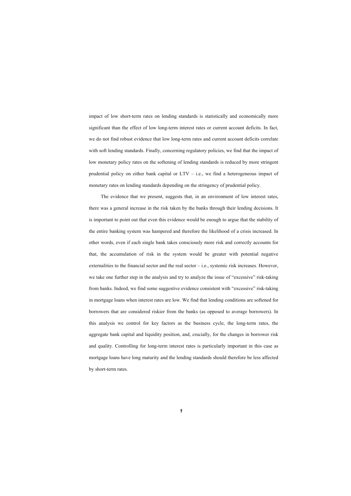impact of low short-term rates on lending standards is statistically and economically more significant than the effect of low long-term interest rates or current account deficits. In fact, we do not find robust evidence that low long-term rates and current account deficits correlate with soft lending standards. Finally, concerning regulatory policies, we find that the impact of low monetary policy rates on the softening of lending standards is reduced by more stringent prudential policy on either bank capital or  $LTV - i.e.,$  we find a heterogeneous impact of monetary rates on lending standards depending on the stringency of prudential policy.

The evidence that we present, suggests that, in an environment of low interest rates, there was a general increase in the risk taken by the banks through their lending decisions. It is important to point out that even this evidence would be enough to argue that the stability of the entire banking system was hampered and therefore the likelihood of a crisis increased. In other words, even if each single bank takes consciously more risk and correctly accounts for that, the accumulation of risk in the system would be greater with potential negative externalities to the financial sector and the real sector – i.e., systemic risk increases. However, we take one further step in the analysis and try to analyze the issue of "excessive" risk-taking from banks. Indeed, we find some suggestive evidence consistent with "excessive" risk-taking in mortgage loans when interest rates are low. We find that lending conditions are softened for borrowers that are considered riskier from the banks (as opposed to average borrowers). In this analysis we control for key factors as the business cycle, the long-term rates, the aggregate bank capital and liquidity position, and, crucially, for the changes in borrower risk and quality. Controlling for long-term interest rates is particularly important in this case as mortgage loans have long maturity and the lending standards should therefore be less affected by short-term rates.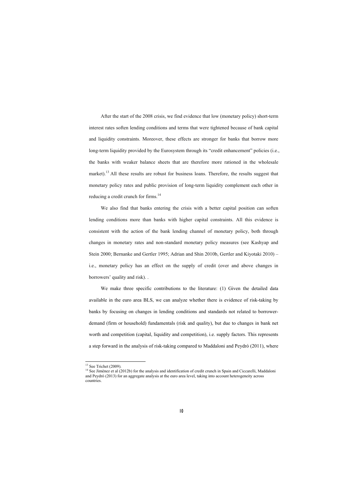After the start of the 2008 crisis, we find evidence t[hat](#page-11-0) low (monetary policy) short-term interest rates soften lending conditions and terms that were tightened because of bank capital and liquidity constraints. Moreover, these effects are stronger for banks that borrow more long-term liquidity provided by the Eurosystem through its "credit enhancement" policies (i.e., the banks with weaker balance sheets that are therefore more rationed in the wholesale market).<sup>13</sup> All these results are robust for business loans. Therefore, the results suggest that monetary policy rates and public provision of long-term liquidity complement each other in reducing a credit crunch for firms.<sup>14</sup>

We also find that banks entering the crisis with a better capital position can soften lending conditions more than banks with higher capital constraints. All this evidence is consistent with the action of the bank lending channel of monetary policy, both through changes in monetary rates and non-standard monetary policy measures (see Kashyap and Stein 2000; Bernanke and Gertler 1995; Adrian and Shin 2010b, Gertler and Kiyotaki 2010) – i.e., monetary policy has an effect on the supply of credit (over and above changes in borrowers' quality and risk). .

We make three specific contributions to the literature: (1) Given the detailed data available in the euro area BLS, we can analyze whether there is evidence of risk-taking by banks by focusing on changes in lending conditions and standards not related to borrowerdemand (firm or household) fundamentals (risk and quality), but due to changes in bank net worth and competition (capital, liquidity and competition), i.e. supply factors. This represents a step forward in the analysis of risk-taking compared to Maddaloni and Peydró (2011), where

<u>.</u>

 $13$  See Trichet (2009).

<span id="page-11-0"></span> $14$  See Jiménez et al (2012b) for the analysis and identification of credit crunch in Spain and Ciccarelli, Maddaloni and Peydró (2013) for an aggregate analysis at the euro area level, taking into account heterogeneity across countries.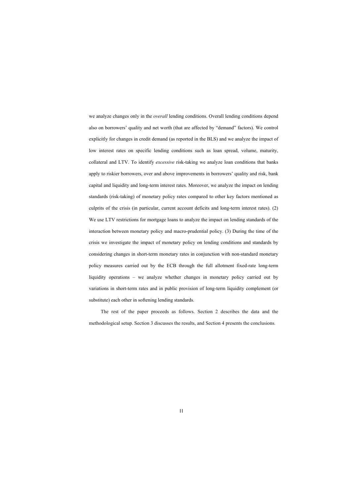we analyze changes only in the *overall* lending conditions. Overall lending conditions depend also on borrowers' quality and net worth (that are affected by "demand" factors). We control explicitly for changes in credit demand (as reported in the BLS) and we analyze the impact of low interest rates on specific lending conditions such as loan spread, volume, maturity, collateral and LTV. To identify *excessive* risk-taking we analyze loan conditions that banks apply to riskier borrowers, over and above improvements in borrowers' quality and risk, bank capital and liquidity and long-term interest rates. Moreover, we analyze the impact on lending standards (risk-taking) of monetary policy rates compared to other key factors mentioned as culprits of the crisis (in particular, current account deficits and long-term interest rates). (2) We use LTV restrictions for mortgage loans to analyze the impact on lending standards of the interaction between monetary policy and macro-prudential policy. (3) During the time of the crisis we investigate the impact of monetary policy on lending conditions and standards by considering changes in short-term monetary rates in conjunction with non-standard monetary policy measures carried out by the ECB through the full allotment fixed-rate long-term liquidity operations – we analyze whether changes in monetary policy carried out by variations in short-term rates and in public provision of long-term liquidity complement (or substitute) each other in softening lending standards.

The rest of the paper proceeds as follows. Section 2 describes the data and the methodological setup. Section 3 discusses the results, and Section 4 presents the conclusions.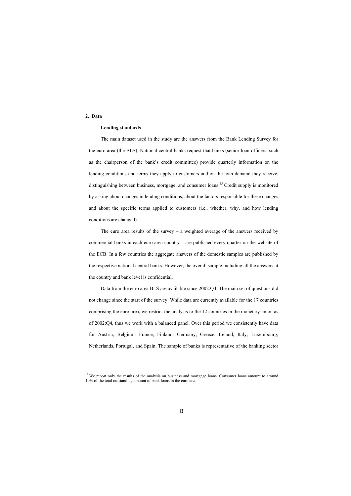# **2. Data**

1

### **Lending standards**

The main dataset used in the study are the answers from the Bank Lending Survey for the euro area (the BLS). National central banks request that banks (senior loan officers, such as the chairperson of the bank's credit committee) provide quarterly information on the lending conditions and terms they apply to customers and on the loan demand they receive, distinguishing between business, mortgage, and consumer loans.<sup>15</sup> Credit supply is monitored by asking about changes in lending conditions, about the factors responsible for these changes, and about the specific terms applied to customers (i.e., whether, why, and how lending conditions are changed).

The euro area results of the surv[ey](#page-13-0) – a weighted average of the answers received by commercial banks in each euro area country – are published every quarter on the website of the ECB. In a few countries t[he](#page-13-1) aggregate answers of the domestic samples are published by the respective national central banks. However, the overall sample including all the answers at the country and bank level is confidential.

Data from the euro area BLS are available since 2002:Q4. The main set of questions did not change since the start of the survey. While data are currently available for the 17 countries comprising the euro area, we restrict the analysis to the 12 countries in the monetary union as of 2002:Q4, thus we work with a balanced panel. Over this period we consistently have data for Austria, Belgium, France, Finland, Germany, Greece, Ireland, Italy, Luxembourg, Netherlands, Portugal, and Spain. The sample of banks is representative of the banking sector

<span id="page-13-1"></span><span id="page-13-0"></span><sup>&</sup>lt;sup>15</sup> We report only the results of the analysis on business and mortgage loans. Consumer loans amount to around 10% of the total outstanding amount of bank loans in the euro area.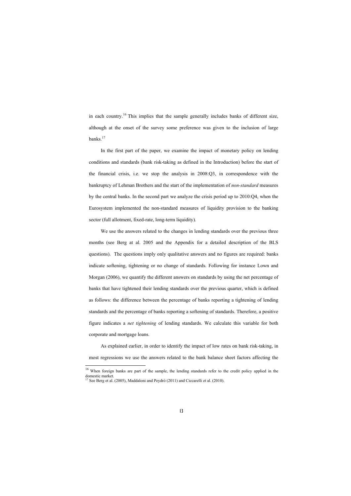in each country.<sup>16</sup> This implies that the sample generally includes banks of different size, although at the onset of the survey some preference was given to the inclusion of large banks.17

In the first part of the paper, we examine the impact of monetary policy on lending conditions and standards (bank risk-taking as defined in the Introduction) before the start of the financial crisis, i.e. we stop the analysis in 2008:Q3, in correspondence with the bankruptcy of Lehman Brothers and the start of the implementation of *non-standard* measures by the central banks. In the second part we analyze the crisis period up to 2010:Q4, when the Eurosystem implemented the non-standard measures of liquidity provision to the banking sector (full allotment, fixed-rate, long-term liquidity).

We use the answers related to the changes in lending standards over the previous three months (see Berg at al. 2005 and the Appendix for a detailed description of the BLS questions). The questions imply only qualitative answers and no figures are required: banks indicate softening, tightening or no change of standards. Following for instance Lown and Morgan (2006), we quantify the different answers on standards by using the net percentage of banks that have tightened their lending standards over the previous quarter, which is defined as follows: the difference between the percentage of banks reporting a tightening of lending standards and the percentage of banks reporting a softening of standards. Therefore, a positive figure indicates a *net tightening* of lending standards. We calculate this variable for both corporate and mortgage loans.

As explained earlier, in order to identify the impact of low rates on bank risk-taking, in most regressions we use the answers related to the bank balance sheet factors affecting the

<sup>&</sup>lt;sup>16</sup> When foreign banks are part of the sample, the lending standards refer to the credit policy applied in the domestic market.

<sup>&</sup>lt;sup>17</sup> See Berg et al. (2005), Maddaloni and Peydró (2011) and Ciccarelli et al. (2010).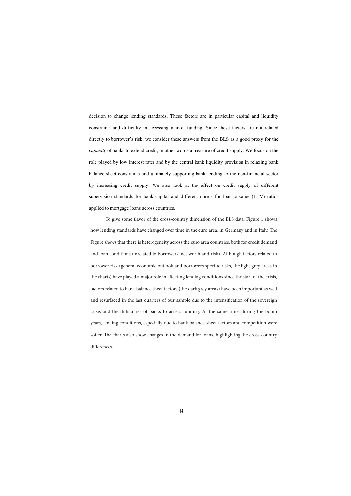decision to change lending standards. These factors are in particular capital and liquidity constraints and difficulty in accessing market funding. Since these factors are not related directly to borrower's risk, we consider these answers from the BLS as a good proxy for the *capacity* of banks to extend credit, in other words a measure of credit supply. We focus on the role played by low interest rates and by the central bank liquidity provision in relaxing bank balance sheet constraints and ultimately supporting bank lending to the non-financial sector by increasing credit supply. We also look at the effect on credit supply of different supervision standards for bank capital and different norms for loan-to-value (LTV) ratios applied to mortgage loans across countries.

 To give some flavor of the cross-country dimension of the BLS data, Figure 1 shows how lending standards have changed over time in the euro area, in Germany and in Italy. The Figure shows that there is heterogeneity across the euro area countries, both for credit demand and loan conditions unrelated to borrowers' net worth and risk). Although factors related to borrower risk (general economic outlook and borrowers specific risks, the light grey areas in the charts) have played a major role in affecting lending conditions since the start of the crisis, factors related to bank balance sheet factors (the dark grey areas) have been important as well and resurfaced in the last quarters of our sample due to the intensification of the sovereign crisis and the difficulties of banks to access funding. At the same time, during the boom years, lending conditions, especially due to bank balance-sheet factors and competition were softer. The charts also show changes in the demand for loans, highlighting the cross-country differences.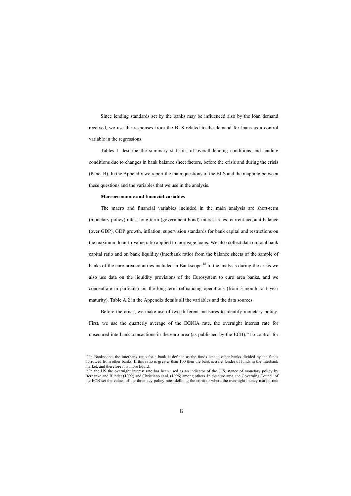Since lending standards set by the banks may be influenced also by the loan demand received, we use the responses from the BLS related to the demand for loan[s a](#page-16-0)s a control variable in the regressions.

Tables 1 describe the summary statistics of overall lending conditions and lending conditions due to changes in bank balance sheet factors, before the crisis and during the crisis (Panel B). In the Appendix we report the main questions of the BLS and the mapping between these questions and the variables that we use in the analysis.

### **Macroeconomic and financial variables**

1

The macro and financial variables included in the main analysis are short-term (monetary policy) rates, long-term (government bond) interest rates, current account balance (over GDP), GDP growth, inflation, supervi[sio](#page-16-1)n standards for bank capital and restrictions on the maximum loan-to-value ratio applied to mortgage loans. We also collect data on total bank capital ratio and on bank liquidity (interbank ratio) from the balance sheets of the sample of banks of the euro area countries included in Bankscope.<sup>18</sup> In the analysis during the crisis we also use data on the liquidity provisions of the Eurosystem to euro area banks, and we concentrate in particular on the long-term refinancing operations (from 3-month to 1-year maturity). Table A.2 in the Appendix details all the variables and the data sources.

Before the crisis, we make use of two different measures to identify monetary policy. First, we use the quarterly average of the EONIA rate, the overnight interest rate for unsecured interbank transactions in the euro area (as published by the ECB).19 To control for

 $18$  In Bankscope, the interbank ratio for a bank is defined as the funds lent to other banks divided by the funds borrowed from other banks. If this ratio is greater than 100 then the bank is a net lender of funds in the interbank market, and therefore it is more liquid.

<span id="page-16-1"></span><span id="page-16-0"></span><sup>&</sup>lt;sup>19</sup> In the US the overnight interest rate has been used as an indicator of the U.S. stance of monetary policy by Bernanke and Blinder (1992) and Christiano et al. (1996) among others. In the euro area, the Governing Council of the ECB set the values of the three key policy rates defining the corridor where the overnight money market rate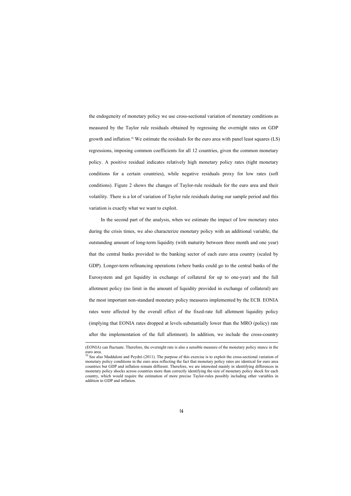the endogeneity of monetary policy we use cross-sectional variation of monetary conditions as measured by the Taylor rule residuals obtained by regressing the overnight rates on GDP growth and inflation.<sup>20</sup> We estimate the residuals for the euro area with panel least squares (LS) regressions, imposing common coefficients for all 12 countries, given the common monetary policy. A positive residual indicates relatively high monetary policy rates (tight monetary conditions for a certain countries), while negative residuals proxy for low rates (soft conditions). Figure 2 shows the changes of Taylor-rule residuals for the euro area and their volatility. There is a lot of variation of Taylor rule residuals during our sample period and this variation is exactly what we want to exploit.

In the second part of the analysis, when we estimate the impact of low monetary rates during the crisis times, we also characterize monetary policy with an additional variable, the outstanding amount of long-term liquidity (with maturity between three month and one year) that the central banks provided to the banking sector of each euro area country (scaled by GDP). Longer-term refinancing operations (where banks could go to the central banks of the Eurosystem and get liquidity in exchange of collateral for up to one-year) and the full allotment policy (no limit in the amount of liquidity provided in exchange of collateral) are the most important non-standard monetary policy measures implemented by the ECB. EONIA rates were affected by the overall effect of the fixed-rate full allotment liquidity policy (implying that EONIA rates dropped at levels substantially lower than the MRO (policy) rate after the implementation of the full allotment). In addition, we include the cross-country

 <sup>(</sup>EONIA) can fluctuate. Therefore, the overnight rate is also a sensible measure of the monetary policy stance in the euro area.

 $20$  See also Maddaloni and Peydró (2011). The purpose of this exercise is to exploit the cross-sectional variation of monetary policy conditions in the euro area reflecting the fact that monetary policy rates are identical for euro area countries but GDP and inflation remain different. Therefore, we are interested mainly in identifying differences in monetary policy shocks across countries more than correctly identifying the size of monetary policy shock for each country, which would require the estimation of more precise Taylor-rules possibly including other variables in addition to GDP and inflation.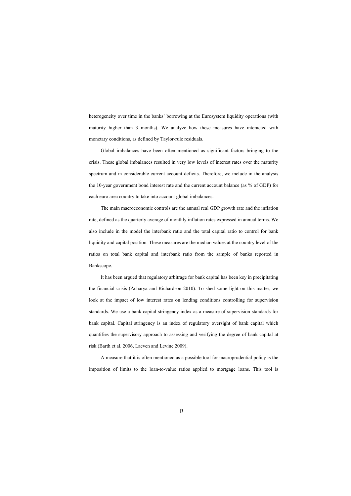heterogeneity over time in the banks' borrowing at the Eurosystem liquidity operations (with maturity higher than 3 months). We analyze how these measures have interacted with monetary conditions, as defined by Taylor-rule residuals.

Global imbalances have been often mentioned as significant factors bringing to the crisis. These global imbalances resulted in very low levels of interest rates over the maturity spectrum and in considerable current account deficits. Therefore, we include in the analysis the 10-year government bond interest rate and the current account balance (as % of GDP) for each euro area country to take into account global imbalances.

The main macroeconomic controls are the annual real GDP growth rate and the inflation rate, defined as the quarterly average of monthly inflation rates expressed in annual terms. We also include in the model the interbank ratio and the total capital ratio to control for bank liquidity and capital position. These measures are the median values at the country level of the ratios on total bank capital and interbank ratio from the sample of banks reported in Bankscope.

It has been argued that regulatory arbitrage for bank capital has been key in precipitating the financial crisis (Acharya and Richardson 2010). To shed some light on this matter, we look at the impact of low interest rates on lending conditions controlling for supervision standards. We use a bank capital stringency index as a measure of supervision standards for bank capital. Capital stringency is an index of regulatory oversight of bank capital which quantifies the supervisory approach to assessing and verifying the degree of bank capital at risk (Barth et al. 2006, Laeven and Levine 2009).

A measure that it is often mentioned as a possible tool for macroprudential policy is the imposition of limits to the loan-to-value ratios applied to mortgage loans. This tool is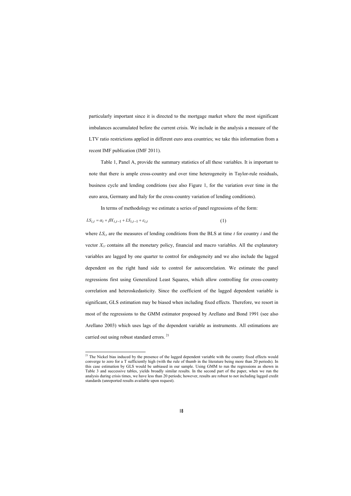particularly important since it is directed to the mortgage market where the most significant imbalances accumulated before the current crisis. We include in the analysis a measure of the LTV ratio restrictions applied in different euro area countries; we take this information from a recent IMF publication (IMF 2011).

Table 1, Panel A, provide the summary statistics of all these variables. It is important to note that there is ample cross-country and over time heterogeneity in Taylor-rule residuals, business cycle and lending conditions (see also Figure 1, for the variation over time in the euro area, Germany and Italy for the cross-country variation of lending conditions).

In terms of methodology we estimate a series of panel r[egr](#page-19-0)essions of the form:

$$
LS_{i,t} = \alpha_i + \beta X_{i,t-1} + LS_{i,t-1} + \varepsilon_{i,t}
$$
\n<sup>(1)</sup>

1

where  $LS_{i,t}$  are the measures of lending conditions from the BLS at time *t* for country *i* and the vector  $X_{i,t}$  contains all the monetary policy, financial and macro variables. All the explanatory variables are lagged by one quarter to control for endogeneity and we also include the lagged dependent on the right hand side to control for autocorrelation. We estimate the panel regressions first using Generalized Least Squares, which allow controlling for cross-country correlation and heteroskedasticity. Since the coefficient of the lagged dependent variable is significant, GLS estimation may be biased when including fixed effects. Therefore, we resort in most of the regressions to the GMM estimator proposed by Arellano and Bond 1991 (see also Arellano 2003) which uses lags of the dependent variable as instruments. All estimations are carried out using robust standard errors.<sup>21</sup>

<span id="page-19-0"></span><sup>&</sup>lt;sup>21</sup> The Nickel bias induced by the presence of the lagged dependent variable with the country fixed effects would converge to zero for a T sufficiently high (with the rule of thumb in the literature being more than 20 periods). In this case estimation by GLS would be unbiased in our sample. Using GMM to run the regressions as shown in Table 3 and successive tables, yields broadly similar results. In the second part of the paper, when we run the analysis during crisis times, we have less than 20 periods; however, results are robust to not including lagged credit standards (unreported results available upon request).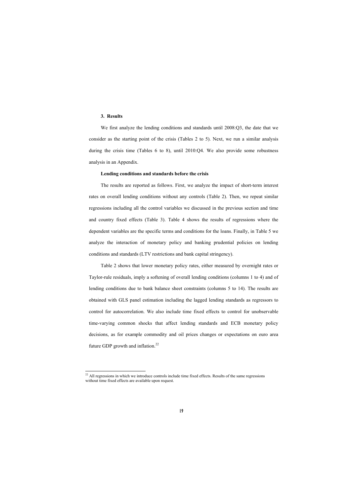## **3. Results**

1

We first analyze the lending conditions and standards until 2008:O3, the date that we consider as the starting point of the crisis (Tables 2 to 5). Next, we run a similar analysis during the crisis time (Tables 6 to 8), until 2010:Q4. We also provide some robustness analysis in an Appendix.

#### **Lending conditions and standards before the crisis**

The results are reported as follows. First, we analyze the impact of short-term interest rates on overall lending conditions without any controls (Table 2). Then, we repeat similar regressions including all the control variables we discussed in the previous section and time and country fixed effects (Table 3). Table 4 shows the results of regressions where the dependent variables are the specific terms and condition[s f](#page-20-0)or the loans. Finally, in Table 5 we analyze the interaction of monetary policy and banking prudential policies on lending conditions and standards (LTV restrictions and bank capital stringency).

Table 2 shows that lower monetary policy rates, either measured by overnight rates or Taylor-rule residuals, imply a softening of overall lending conditions (columns 1 to 4) and of lending conditions due to bank balance sheet constraints (columns 5 to 14). The results are obtained with GLS panel estimation including the lagged lending standards as regressors to control for autocorrelation. We also include time fixed effects to control for unobservable time-varying common shocks that affect lending standards and ECB monetary policy decisions, as for example commodity and oil prices changes or expectations on euro area future GDP growth and inflation.<sup>22</sup>

<span id="page-20-0"></span><sup>&</sup>lt;sup>22</sup> All regressions in which we introduce controls include time fixed effects. Results of the same regressions without time fixed effects are available upon request.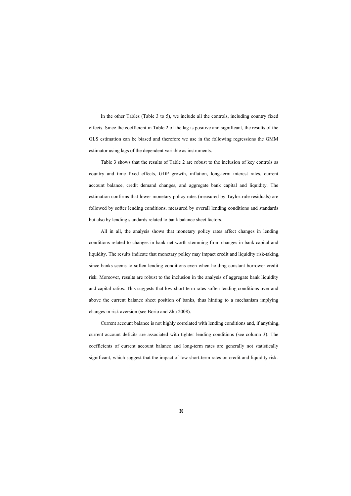In the other Tables (Table 3 to 5), we include all the controls, including country fixed effects. Since the coefficient in Table 2 of the lag is positive and significant, the results of the GLS estimation can be biased and therefore we use in the following regressions the GMM estimator using lags of the dependent variable as instruments.

Table 3 shows that the results of Table 2 are robust to the inclusion of key controls as country and time fixed effects, GDP growth, inflation, long-term interest rates, current account balance, credit demand changes, and aggregate bank capital and liquidity. The estimation confirms that lower monetary policy rates (measured by Taylor-rule residuals) are followed by softer lending conditions, measured by overall lending conditions and standards but also by lending standards related to bank balance sheet factors.

All in all, the analysis shows that monetary policy rates affect changes in lending conditions related to changes in bank net worth stemming from changes in bank capital and liquidity. The results indicate that monetary policy may impact credit and liquidity risk-taking, since banks seems to soften lending conditions even when holding constant borrower credit risk. Moreover, results are robust to the inclusion in the analysis of aggregate bank liquidity and capital ratios. This suggests that low short-term rates soften lending conditions over and above the current balance sheet position of banks, thus hinting to a mechanism implying changes in risk aversion (see Borio and Zhu 2008).

Current account balance is not highly correlated with lending conditions and, if anything, current account deficits are associated with tighter lending conditions (see column 3). The coefficients of current account balance and long-term rates are generally not statistically significant, which suggest that the impact of low short-term rates on credit and liquidity risk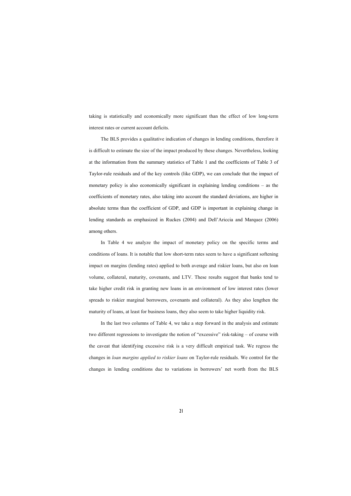taking is statistically and economically more significant than the effect of low long-term interest rates or current account deficits.

The BLS provides a qualitative indication of changes in lending conditions, therefore it is difficult to estimate the size of the impact produced by these changes. Nevertheless, looking at the information from the summary statistics of Table 1 and the coefficients of Table 3 of Taylor-rule residuals and of the key controls (like GDP), we can conclude that the impact of monetary policy is also economically significant in explaining lending conditions – as the coefficients of monetary rates, also taking into account the standard deviations, are higher in absolute terms than the coefficient of GDP, and GDP is important in explaining change in lending standards as emphasized in Ruckes (2004) and Dell'Ariccia and Marquez (2006) among others.

In Table 4 we analyze the impact of monetary policy on [the](#page-22-0) specific terms and conditions of loans. It is notable that low short-term rates seem to have a significant softening impact on margins (lending rates) applied to both average and riskier loans, but also on loan volume, collateral, maturity, covenants, and LTV. These results suggest that banks tend to take higher credit risk in granting new loans in an environment of low interest rates (lower spreads to riskier marginal borrowers, covenants and collateral). As they also lengthen the maturity of loans, at least for business loans, they also seem to take higher liquidity risk.

<span id="page-22-0"></span>In the last two columns of Table 4, we take a step forward in the analysis and estimate two different regressions to investigate the notion of "excessive" risk-taking – of course with the caveat that identifying excessive risk is a very difficult empirical task. We regress the changes in *loan margins applied to riskier loans* on Taylor-rule residuals. We control for the changes in lending conditions due to variations in borrowers' net worth from the BLS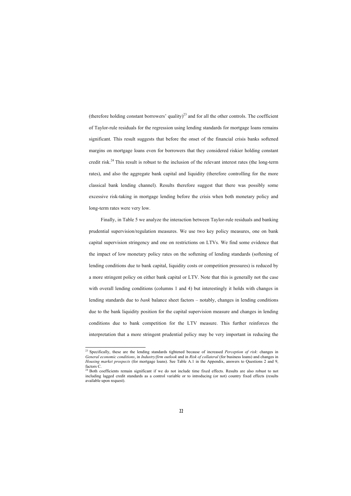(therefore holding constant borrowers' quality)<sup>23</sup> and for all the other controls. The coefficient of Taylor-rule residuals for the regression using lending standards for mortgage loans remains significant. This result suggests that before the onset of the financial crisis banks softened margins on mortgage loans even for borrowers that they considered riskier holding constant credit risk.<sup>24</sup> This result is robust to the inclusion of the relevant interest rates (the long-term rates), and also the aggregate bank capital and liquidity (therefore controlling for the more classical bank lending channel). Results therefore suggest that there was possibly some excessive risk-taking in mortgage lending before the crisis when both monetary policy and long-term rates were very low.

Finally, in Table 5 we analyze the interaction between Taylor-rule residuals and banking prudential supervision/regulation measures. We use two key policy measures, one on bank capital supervision stringency and one on restrictions on LTVs. We find some evidence that the impact of low monetary policy rates on the softening of lending standards (softening of lending conditions due to bank capital, liquidity costs or competition pressures) is reduced by a more stringent policy on either bank capital or LTV. Note that this is generally not the case with overall lending conditions (columns 1 and 4) but interestingly it holds with changes in lending standards due to *bank* balance sheet factors – notably, changes in lending conditions due to the bank liquidity position for the capital supervision measure and changes in lending conditions due to bank competition for the LTV measure. This further reinforces the interpretation that a more stringent prudential policy may be very important in reducing the

<u>.</u>

<sup>23</sup> Specifically, these are the lending standards tightened because of increased *Perception of risk*: changes in *General economic conditions*, in *Industry/firm outlook* and in *Risk of collateral* (for business loans) and changes in *Housing market prospects* (for mortgage loans). See Table A.1 in the Appendix, answers to Questions 2 and 9, factors C.

<sup>&</sup>lt;sup>24</sup> Both coefficients remain significant if we do not include time fixed effects. Results are also robust to not including lagged credit standards as a control variable or to introducing (or not) country fixed effects (results available upon request).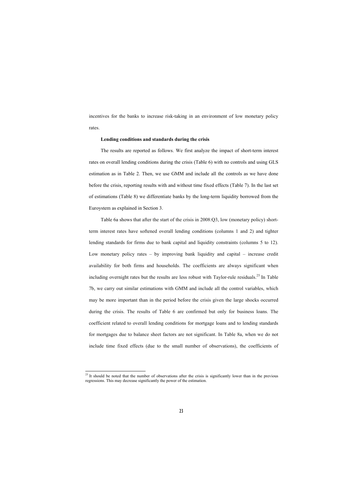incentives for the banks to increase risk-taking in an environment of low monetary policy rates.

#### **Lending conditions and standards during the crisis**

The results are reported as follows. We first analyze the impact of short-term interest rates on overall lending conditions during the crisis (Table 6) with no controls and using GLS estimation as in Table 2. Then, we use GMM and include all the controls as we have done before the crisis, reporting results with and without time fixed effects (Table 7). In the last set of estimations (Table 8) we differentiate banks by the long-term liquidity borrowed from the Euroystem as explained in Section 3.

Table 6a shows that after the start of the crisis in 2008:Q3, low (monetary policy) shortterm interest rates have softened overall lending conditions (columns 1 and 2) and tighter lending standards for firms due to bank capital and liquidity constraints (columns 5 to 12). Low monetary policy rates – by improving bank liquidity and capital – increase credit availability for both firms and households. The coefficients are always significant when including overnight rates but the results are less robust with Taylor-rule residuals.<sup>25</sup> In Table 7b, we carry out similar estimations with GMM and include all the control variables, which may be more important than in the period before the crisis given the large shocks occurred during the crisis. The results of Table 6 are confirmed but only for business loans. The coefficient related to overall lending conditions for mortgage loans and to lending standards for mortgages due to balance sheet factors are not significant. In Table 8a, when we do not include time fixed effects (due to the small number of observations), the coefficients of

 $^{25}$  It should be noted that the number of observations after the crisis is significantly lower than in the previous regressions. This may decrease significantly the power of the estimation.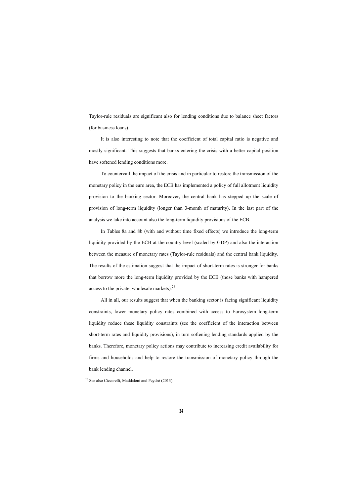Taylor-rule residuals are significant also for lending conditions due to balance sheet factors (for business loans).

It is also interesting to note that the coefficient of total capital ratio is negative and mostly significant. This suggests that banks entering the crisis with a better capital position have softened lending conditions more.

To countervail the impact of the crisis and in particular to restore the transmission of the monetary policy in the euro area, the ECB has implemented a policy of full allotment liquidity provision to the banking sector. Moreover, the central bank has stepped up the scale of provision of long-term liquidity (longer than 3-month of maturity). In the last part of the analysis we take into account also the long-term liquidity provisions of the ECB.

In Tables 8a and 8b (with and without time fixed effects) we introduce the long-term liquidity provided by the ECB at the country level (scaled by GDP) and also the interaction between the measure of monetary rates (Taylor-rule residuals) and the central bank liquidity. The results of the estimation suggest that the impact of short-term rates is stronger for banks that borrow more the long-term liquidity provided by the ECB (those banks with hampered access to the private, wholesale markets). $^{26}$ 

All in all, our results suggest that when the banking sector is facing significant liquidity constraints, lower monetary policy rates combined with access to Eurosystem long-term liquidity reduce these liquidity constraints (see the coefficient of the interaction between short-term rates and liquidity provisions), in turn softening lending standards applied by the banks. Therefore, monetary policy actions may contribute to increasing credit availability for firms and households and help to restore the transmission of monetary policy through the bank lending channel.

<u>.</u>

<sup>&</sup>lt;sup>26</sup> See also Ciccarelli, Maddaloni and Peydró (2013).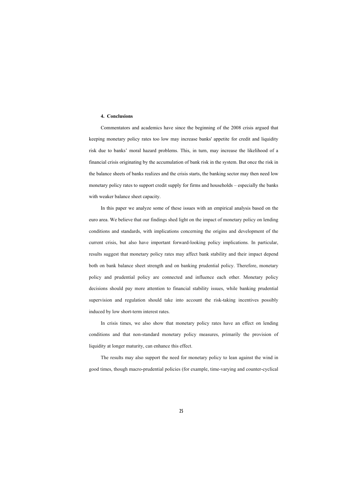## **4. Conclusions**

Commentators and academics have since the beginning of the 2008 crisis argued that keeping monetary policy rates too low may increase banks' appetite for credit and liquidity risk due to banks' moral hazard problems. This, in turn, may increase the likelihood of a financial crisis originating by the accumulation of bank risk in the system. But once the risk in the balance sheets of banks realizes and the crisis starts, the banking sector may then need low monetary policy rates to support credit supply for firms and households – especially the banks with weaker balance sheet capacity.

In this paper we analyze some of these issues with an empirical analysis based on the euro area. We believe that our findings shed light on the impact of monetary policy on lending conditions and standards, with implications concerning the origins and development of the current crisis, but also have important forward-looking policy implications. In particular, results suggest that monetary policy rates may affect bank stability and their impact depend both on bank balance sheet strength and on banking prudential policy. Therefore, monetary policy and prudential policy are connected and influence each other. Monetary policy decisions should pay more attention to financial stability issues, while banking prudential supervision and regulation should take into account the risk-taking incentives possibly induced by low short-term interest rates.

In crisis times, we also show that monetary policy rates have an effect on lending conditions and that non-standard monetary policy measures, primarily the provision of liquidity at longer maturity, can enhance this effect.

The results may also support the need for monetary policy to lean against the wind in good times, though macro-prudential policies (for example, time-varying and counter-cyclical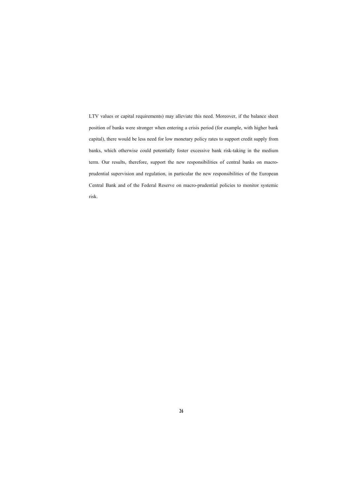LTV values or capital requirements) may alleviate this need. Moreover, if the balance sheet position of banks were stronger when entering a crisis period (for example, with higher bank capital), there would be less need for low monetary policy rates to support credit supply from banks, which otherwise could potentially foster excessive bank risk-taking in the medium term. Our results, therefore, support the new responsibilities of central banks on macroprudential supervision and regulation, in particular the new responsibilities of the European Central Bank and of the Federal Reserve on macro-prudential policies to monitor systemic risk.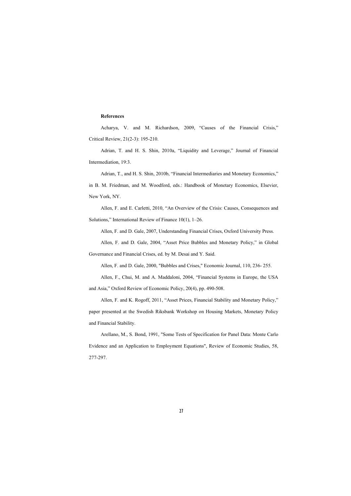# **References**

Acharya, V. and M. Richardson, 2009, "Causes of the Financial Crisis," Critical Review, 21(2-3): 195-210.

Adrian, T. and H. S. Shin, 2010a, "Liquidity and Leverage," Journal of Fina[ncial](http://www.oup.com/us/catalog/general/subject/Finance/Theory/~~/dmlldz11c2EmY2k9OTc4MDE5OTI1MTQxNA==)  Intermediation, 19:3.

Adrian, T., and [H. S. Shin, 2010b, "Financial Intermediaries and Monetary Econom](http://finance.wharton.upenn.edu/~allenf/download/Vita/apbm.pdf)ics," in B. M. Friedman, and M. Woodford, eds.: Handbook of Monetary Economics, Elsevier, New York, NY.

Allen, F. and E[. Carletti, 2010, "An Overview of the Crisis: Causes, Consequences an](http://finance.wharton.upenn.edu/~allenf/download/Vita/finsystemseurope.pdf?ijkey=48gwodz)d Solutions," International Review of Finance 10(1), 1–26.

Allen, F. and D. Gale, 2007, Understanding Financial Crises, Oxford University Press.

Allen, F. and D. Gale, 2004, "Asset Price Bubbles and Monetary Policy," in Global Governance and Financial Crises, ed. by M. Desai and Y. Said.

Allen, F. and D. Gale, 2000, "Bubbles and Crises," Economic Journal, 110, 236- 255.

Allen, F., Chui, M. and A. Maddaloni, 2004, "Financial Systems in Europe, the USA and Asia," Oxford Review of Economic Policy, 20(4), pp. 490-508.

Allen, F. and K. Rogoff, 2011, "Asset Prices, Financial Stability and Monetary Policy," paper presented at the Swedish Riksbank Workshop on Housing Markets, Monetary Policy and Financial Stability.

Arellano, M., S. Bond, 1991, "Some Tests of Specification for Panel Data: Monte Carlo Evidence and an Application to Employment Equations", Review of Economic Studies, 58, 277-297.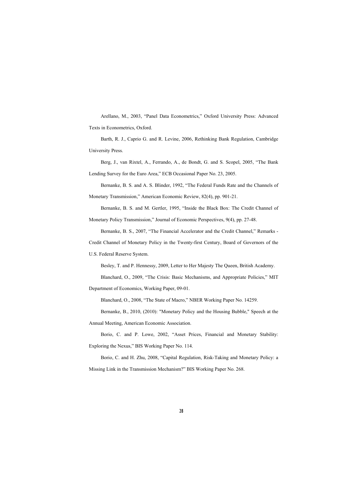Arellano, M., 2003, "Panel Data Econometrics," Oxford University Press: Advanced Texts in Econometrics, Oxford.

Barth, R. J., Caprio G. and R. Levine, 2006, Rethinking Bank Regulation, Cambridge University Press.

Berg, J., van Rixtel, A., Ferrando, A., de Bondt, G. and S. Scopel, 2005, "The Bank Lending Survey for the Euro Area," ECB Occasional Paper No. 23, 2005.

Bernanke, B. S. and A. S. Blinder, 1992, "The Federal Funds Rate and the Channels of Monetary Transmission," American Economic Revi[ew, 82\(4\), pp. 901-21.](http://papers.ssrn.com/sol3/papers.cfm?abstract_id=1324280) 

Bernanke, B. S. and M. Gertler, 1995, "Inside the Black Box: The Credit Channel of

Monetary Policy Transmission," Journal of Economic Perspectives, 9(4), pp. 27-48.

Bernanke, B. S., 2007, "The Financial Accelerator and the Credit Channel," Remarks -

Credit Channel of Monetary Policy in the Twenty-first Century, Board of Governors of the

U.S. Federal Reserve System.

Besley, T. and P. Hennessy, 2009, Letter to Her Majesty The Queen, British Academy.

Blanchard, O., 2009, "The Crisis: Basic Mechanisms, and Appropriate Policies," MIT

Department of Economics, Working Paper, 09-01.

Blanchard, O., 2008, "The State of Macro," NBER Working Paper No. 14259.

Bernanke, B., 2010, (2010): "Monetary Policy and the Housing Bubble," Speech at the

Annual Meeting, American Economic Association.

Borio, C. and P. Lowe, 2002, "Asset Prices, Financial and Monetary Stability: Exploring the Nexus," BIS Working Paper No. 114.

Borio, C. and H. Zhu, 2008, "Capital Regulation, Risk-Taking and Monetary Policy: a Missing Link in the Transmission Mechanism?" BIS Working Paper No. 268.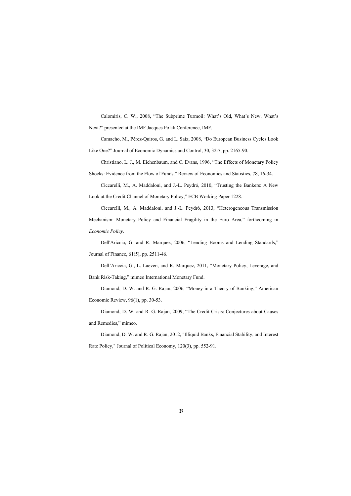Calomiris, C. W., 2008, "The Subprime Turmoil: What's Old, What's New, What's Next?" presented at the IMF Jacques Polak Conference, IMF.

Camacho, M., Pérez-Quiros, G. and L. Saiz, 2008, "Do European Business Cycles Look

Like One?" Journal of Economic Dynamics and Control, 30, 32:7, pp. 2165-90.

Christiano, L. J., M. Eichenbaum, and C. Evans, 1996, "The Effects of Monetary Policy Shocks: Evidence from the Flow of Funds," Review of Economics and Statistics, 78, 16-34.

Ciccarelli, M., A. Maddaloni, and J.-L. Peydró, 2010, "Trusting the Bankers: A New Look at the Credit Channel of Monetary Policy," ECB Working Paper 1[228.](http://faculty.chicagobooth.edu/raghuram.rajan/research/papers/TheCreditCrisisDougDiamondRaghuRajanAEADec2008.pdf) 

Ciccarelli, M., [A. Maddaloni, and](http://faculty.chicagobooth.edu/raghuram.rajan/research/papers/TheCreditCrisisDougDiamondRaghuRajanAEADec2008.pdf) J.-L. Peydró, 2013, "Heterogeneous Transmission Mechanism: Monetary Policy and Financial Fragility in the Euro Area," forthcoming in *Economic Policy*.

Dell'Ariccia, G. and R. Marquez, 2006, "Lending Booms and Lending Standards," Journal of Finance, 61(5), pp. 2511-46.

Dell'Ariccia, G., L. Laeven, and R. Marquez, 2011, "Monetary Policy, Leverage, and Bank Risk-Taking," mimeo International Monetary Fund.

Diamond, D. W. and R. G. Rajan, 2006, "Money in a Theory of Banking," American Economic Review, 96(1), pp. 30-53.

Diamond, D. W. and R. G. Rajan, 2009, "The Credit Crisis: Conjectures about Causes and Remedies," mimeo.

Diamond, D. W. and R. G. Rajan, 2012, "Illiquid Banks, Financial Stability, and Interest Rate Policy," Journal of Political Economy, 120(3), pp. 552-91.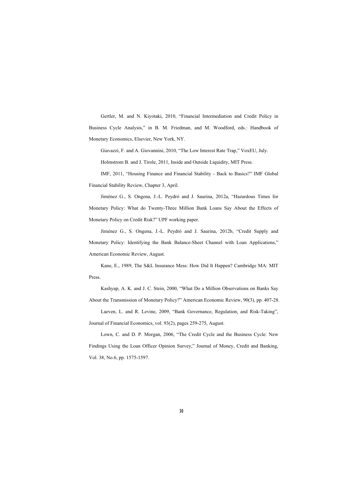Gertler, M. and N. Kiyotaki, 2010, "Financial Intermediation and Credit Policy in Business Cycle Analysis," in B. M. Friedman, and M. Woodford, eds.: Handbook of Monetary Economics, Elsevier, New York, NY.

Giavazzi, F. and A. Giovannini, 2010, "The Low Interest Rate Trap," VoxEU, July.

Holmstrom B. and J. Tirole, 2011, Inside and Outside Liquidity, MIT Press.

IMF, 2011, "Housing Finance and Financial Stability - B[ack to Basics?" IMF Global](http://www.luclaeven.com/papers_files/2009_bank_risk_regulation_Laeven_Levine_jfe.pdf)  Financial Stability Rev[iew, Chapter 3, April.](http://ideas.repec.org/s/eee/jfinec.html) 

Jiménez G., S. Ongena, J.-L. Peydró and J. Saurina, 201[2a, "Hazardous Times for](http://ideas.repec.org/a/fip/fedhpr/y2002imayp282-307.html)  Monetary Policy: W[hat do Twenty-Three Million Bank Loans Say Abo](http://ideas.repec.org/a/fip/fedhpr/y2002imayp282-307.html)ut the Effects of Monetary Policy on Credit Risk?" UPF working paper.

Jiménez G., S. Ongena, J.-L. Peydró and J. Saurina, 2012b, "Credit Supply and Monetary Policy: Identifying the Bank Balance-Sheet Channel with Loan Applications," American Economic Review, August.

Kane, E., 1989, The S&L Insurance Mess: How Did It Happen? Cambridge MA: MIT Press.

Kashyap, A. K. and J. C. Stein, 2000, "What Do a Million Observations on Banks Say About the Transmission of Monetary Policy?" American Economic Review, 90(3), pp. 407-28.

Laeven, L. and R. Levine, 2009, "Bank Governance, Regulation, and Risk-Taking", Journal of Financial Economics, vol. 93(2), pages 259-275, August.

Lown, C. and D. P. Morgan, 2006, "The Credit Cycle and the Business Cycle: New Findings Using the Loan Officer Opinion Survey," Journal of Money, Credit and Banking, Vol. 38, No.6, pp. 1575-1597.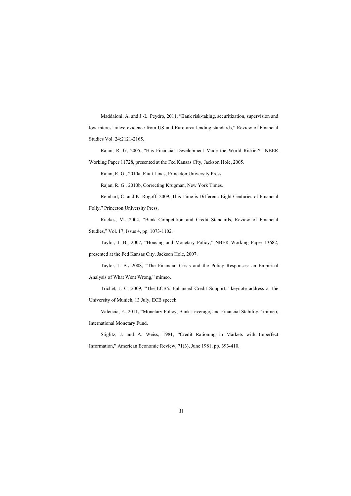Maddaloni, A. and J.-L. Peydró, 2011, "Bank risk-taking, securitization, supervision and low interest rates: evidence from US and Euro area lending standards," Review of Financial Studies Vol. 24:2121-2165.

Rajan, R. G, 2005, "Has Financial Development Made the World Riskier?" NBER Working Paper 11728, presented at the Fed Kansas City, Jackson Hole, 2005.

Rajan, R. G., 2010a, Fault Lines, Princeton University Press.

Rajan, R. G., 2010b, Correcting Krugman, New York Times.

Reinhart, C. an[d K. Rogoff, 20](http://www2.gsb.columbia.edu/faculty/jstiglitz/download/papers/1981_Credit_Rationing_in_Markets_with_Imperfect_Information.pdf)09, This Time is Different: Eight Centuries of Financial Folly," Princeton University Press.

Ruckes, M., 2004, "Bank Competition and Credit Standards, Review of Financial Studies," Vol. 17, Issue 4, pp. 1073-1102.

Taylor, J. B., 2007, "Housing and Monetary Policy," NBER Working Paper 13682, presented at the Fed Kansas City, Jackson Hole, 2007.

Taylor, J. B.**,** 2008, "The Financial Crisis and the Policy Responses: an Empirical Analysis of What Went Wrong," mimeo.

Trichet, J. C. 2009, "The ECB's Enhanced Credit Support," keynote address at the University of Munich, 13 July, ECB speech.

Valencia, F., 2011, "Monetary Policy, Bank Leverage, and Financial Stability," mimeo, International Monetary Fund.

Stiglitz, J. and A. Weiss, 1981, "Credit Rationing in Markets with Imperfect Information," American Economic Review, 71(3), June 1981, pp. 393-410.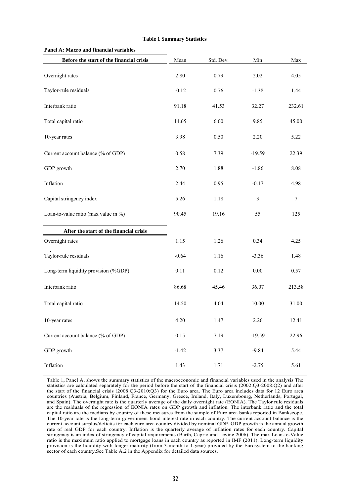| Panel A: Macro and financial variables   |         |           |                |        |
|------------------------------------------|---------|-----------|----------------|--------|
| Before the start of the financial crisis | Mean    | Std. Dev. | Min            | Max    |
| Overnight rates                          | 2.80    | 0.79      | 2.02           | 4.05   |
| Taylor-rule residuals                    | $-0.12$ | 0.76      | $-1.38$        | 1.44   |
| Interbank ratio                          | 91.18   | 41.53     | 32.27          | 232.61 |
| Total capital ratio                      | 14.65   | 6.00      | 9.85           | 45.00  |
| 10-year rates                            | 3.98    | 0.50      | 2.20           | 5.22   |
| Current account balance (% of GDP)       | 0.58    | 7.39      | $-19.59$       | 22.39  |
| GDP growth                               | 2.70    | 1.88      | $-1.86$        | 8.08   |
| Inflation                                | 2.44    | 0.95      | $-0.17$        | 4.98   |
| Capital stringency index                 | 5.26    | 1.18      | $\mathfrak{Z}$ | $\tau$ |
| Loan-to-value ratio (max value in %)     | 90.45   | 19.16     | 55             | 125    |
| After the start of the financial crisis  |         |           |                |        |
| Overnight rates                          | 1.15    | 1.26      | 0.34           | 4.25   |
| Taylor-rule residuals                    | $-0.64$ | 1.16      | $-3.36$        | 1.48   |
| Long-term liquidity provision (%GDP)     | 0.11    | 0.12      | 0.00           | 0.57   |
| Interbank ratio                          | 86.68   | 45.46     | 36.07          | 213.58 |
| Total capital ratio                      | 14.50   | 4.04      | 10.00          | 31.00  |
| 10-year rates                            | 4.20    | 1.47      | 2.26           | 12.41  |
| Current account balance (% of GDP)       | 0.15    | 7.19      | $-19.59$       | 22.96  |
| GDP growth                               | $-1.42$ | 3.37      | $-9.84$        | 5.44   |
| Inflation                                | 1.43    | 1.71      | $-2.75$        | 5.61   |

**Table 1 Summary Statistics** 

the start of the financial crisis (2008:Q3-2010:Q3) for the Euro area. The Euro area includes data for 12 Euro area countries (Austria, Belgium, Finland, France, Germany, Greece, Ireland, Italy, Luxembourg, Netherlands, Portugal, and Spain). The overnight rate is the quarterly average of the daily overnight rate (EONIA). The Taylor rule residuals are the residuals of the regression of EONIA rates on GDP growth and inflation. The interbank ratio and the total capital ratio are the medians by country of these measures from the sample of Euro area banks reported in Bankscope. The 10-year rate is the long-term government bond interest rate in each country. The current account balance is the current account surplus/deficits for each euro area country divided by nominal GDP. GDP growth is the annual growth rate of real GDP for each country. Inflation is the quarterly average of inflation rates for each country. Capital stringency is an index of stringency of capital requirements (Barth, Caprio and Levine 2006). The max Loan-to-Value ratio is the maximum ratio applied to mortgage loans in each country as reported in IMF (2011). Long-term liquidity provision is the liquidity with longer maturity (from 3-month to 1-year) provided by the Eurosystem to the banking sector of each country.See Table A.2 in the Appendix for detailed data sources.

Table 1, Panel A, shows the summary statistics of the macroeconomic and financial variables used in the analysis The statistics are calculated separately for the period before the start of the financial crisis (2002:Q3-2008:Q2) and after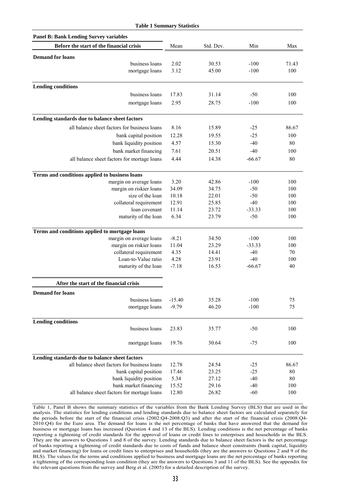| <b>Table 1 Summary Statistics</b>              |          |           |          |       |
|------------------------------------------------|----------|-----------|----------|-------|
| <b>Panel B: Bank Lending Survey variables</b>  |          |           |          |       |
| Before the start of the financial crisis       | Mean     | Std. Dev. | Min      | Max   |
| <b>Demand for loans</b>                        |          |           |          |       |
| business loans                                 | 2.02     | 30.53     | $-100$   | 71.43 |
| mortgage loans                                 | 3.12     | 45.00     | $-100$   | 100   |
|                                                |          |           |          |       |
| <b>Lending conditions</b>                      |          |           |          |       |
| business loans                                 | 17.83    | 31.14     | $-50$    | 100   |
| mortgage loans                                 | 2.95     | 28.75     | $-100$   | 100   |
| Lending standards due to balance sheet factors |          |           |          |       |
|                                                | 8.16     |           |          | 86.67 |
| all balance sheet factors for business loans   |          | 15.89     | $-25$    |       |
| bank capital position                          | 12.28    | 19.55     | $-25$    | 100   |
| bank liquidity position                        | 4.57     | 15.30     | $-40$    | 80    |
| bank market financing                          | 7.61     | 20.51     | $-40$    | 100   |
| all balance sheet factors for mortage loans    | 4.44     | 14.38     | $-66.67$ | 80    |
| Terms and conditions applied to business loans |          |           |          |       |
| margin on average loans                        | 3.20     | 42.86     | $-100$   | 100   |
| margin on riskier loans                        | 34.09    | 34.75     | $-50$    | 100   |
| size of the loan                               | 10.18    | 22.01     | $-50$    | 100   |
| collateral requirement                         | 12.91    | 25.85     | $-40$    | 100   |
| loan covenant                                  | 11.14    | 23.72     | $-33.33$ | 100   |
| maturity of the loan                           | 6.34     | 23.79     | $-50$    | 100   |
| Terms and conditions applied to mortgage loans |          |           |          |       |
| margin on average loans                        | $-8.21$  | 34.50     | $-100$   | 100   |
| margin on riskier loans                        | 11.04    | 23.29     | $-33.33$ | 100   |
| collateral requirement                         | 4.35     | 14.41     | $-40$    | 70    |
| Loan-to-Value ratio                            | 4.28     | 23.91     | $-40$    | 100   |
| maturity of the loan                           | $-7.18$  | 16.53     | $-66.67$ | 40    |
| After the start of the financial crisis        |          |           |          |       |
| <b>Demand for loans</b>                        |          |           |          |       |
| business loans                                 | $-15.40$ | 35.28     | $-100$   | 75    |
| mortgage loans                                 | $-9.79$  | 46.20     | $-100$   | 75    |
| <b>Lending conditions</b>                      |          |           |          |       |
| business loans                                 | 23.83    | 35.77     | $-50$    | 100   |
|                                                |          |           |          |       |
| mortgage loans                                 | 19.76    | 30.64     | $-75$    | 100   |
| Lending standards due to balance sheet factors |          |           |          |       |
| all balance sheet factors for business loans   | 12.78    | 24.54     | $-25$    | 86.67 |
| bank capital position                          | 17.46    | 23.25     | $-25$    | 80    |
| bank liquidity position                        | 5.34     | 27.12     | $-40$    | 80    |
| bank market financing                          | 15.52    | 29.16     | $-40$    | 100   |
| all balance sheet factors for mortage loans    | 12.80    | 26.82     | $-60$    | 100   |

Table 1, Panel B shows the summary statistics of the variables from the Bank Lending Survey (BLS) that are used in the analysis. The statistics for lending conditions and lending standards due to balance sheet factors are calculated separately for the periods before the start of the financial crisis (2002:Q4-2008:Q3) and after the start of the financial crisis (2008:Q4- 2010:Q4) for the Euro area. The demand for loans is the net percentage of banks that have answered that the demand for business or mortgage loans has increased (Question 4 and 13 of the BLS). Lending conditions is the net percentage of banks reporting a tightening of credit standards for the approval of loans or credit lines to enterprises and households in the BLS. They are the answers to Questions 1 and 8 of the survey. Lending standards due to balance sheet factors is the net percentage of banks reporting a tightening of credit standards due to costs of funds and balance sheet constraints (bank capital, liquidity and market financing) for loans or credit lines to enterprises and households (they are the answers to Questions 2 and 9 of the BLS). The values for the terms and conditions applied to business and mortgage loans are the net percentage of banks reporting a tightening of the corresponding loan condition (they are the answers to Questions 3 and 11 of the BLS). See the appendix for the relevant questions from the survey and Berg et al. (2005) for a detailed description of the survey.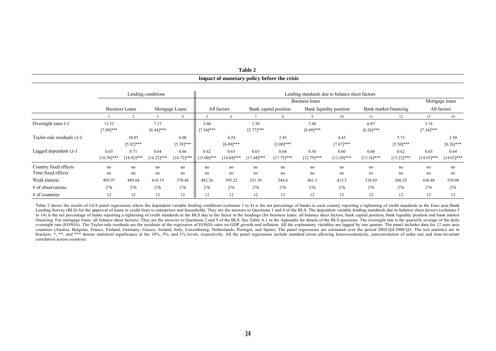|                                 |                       |                       |                       |                      |                       |                      |                       | Impact of monetary policy before the crisis |                                                |                       |                       |                       |                       |                       |  |
|---------------------------------|-----------------------|-----------------------|-----------------------|----------------------|-----------------------|----------------------|-----------------------|---------------------------------------------|------------------------------------------------|-----------------------|-----------------------|-----------------------|-----------------------|-----------------------|--|
|                                 |                       |                       | Lending conditions    |                      |                       |                      |                       |                                             | Lending standards due to balance sheet factors |                       |                       |                       |                       |                       |  |
|                                 |                       |                       |                       |                      |                       | Business loans       |                       |                                             |                                                |                       |                       |                       |                       | Mortgage loans        |  |
|                                 |                       | <b>Business Loans</b> |                       | Mortgage Loans       |                       | All factors          |                       | Bank capital position                       | Bank liquidity position                        |                       | Bank market financing |                       | All factors           |                       |  |
|                                 |                       |                       |                       |                      | .5                    | -6                   |                       |                                             |                                                | 10                    | 11                    | 12                    | 13                    | 14                    |  |
| Overnight rates $t-1$           | 12.52<br>$[7.09]$ *** |                       | 7.17<br>$[6.44]$ ***  |                      | 5.60<br>$[7.94]$ ***  |                      | 3.38<br>$[3.77]$ ***  |                                             | 5.40<br>$[8.09]$ ***                           |                       | 6.87<br>$[6.26]$ ***  |                       | 3.18<br>$[7.34]$ ***  |                       |  |
| Taylor-rule residuals $i, t$ -1 |                       | 10.05<br>$[5.92]$ *** |                       | 6.08<br>$[5.39]$ *** |                       | 4.24<br>$[6.09]$ *** |                       | 2.45<br>$[3.00]$ ***                        |                                                | 4.45<br>$[7.07]***$   |                       | 5.73<br>$[5.50]$ ***  |                       | 2.50<br>$[6.26]$ ***  |  |
| Lagged dependent i, t-1         | 0.65<br>$[16.58]***$  | 0.71<br>$[18.92]$ *** | 0.64<br>$[16.22]$ *** | 0.66<br>$[16.72]***$ | 0.62<br>$[15.00]$ *** | 0.63<br>[14.84]***   | 0.63<br>$[17.44]$ *** | 0.64<br>$[17.75]***$                        | 0.58<br>$[12.79]$ ***                          | 0.60<br>$[13.50]$ *** | 0.60<br>$[13.16]$ *** | 0.62<br>$[13.22]$ *** | 0.65<br>$[14.93]$ *** | 0.64<br>$[14.03]$ *** |  |
| Country fixed effects           | no                    | no                    | no                    | no                   | no                    | no                   | no                    | no                                          | no                                             | no                    | no                    | no                    | no                    | no                    |  |
| Time fixed effects              | no                    | no                    | no                    | no                   | no                    | no                   | no                    | no                                          | no                                             | no                    | no                    | no                    | no                    | no                    |  |
| Wald statistic                  | 495.97                | 489.04                | 418.19                | 370.46               | 482.56                | 395.22               | 351.39                | 344.8                                       | 461.5                                          | 415.5                 | 310.83                | 286.25                | 436.88                | 359.08                |  |
| # of observations               | 276                   | 276                   | 276                   | 276                  | 276                   | 276                  | 276                   | 276                                         | 276                                            | 276                   | 276                   | 276                   | 276                   | 276                   |  |
| $#$ of countries                | 12                    | 12                    | 12                    | 12                   | 12                    | 12                   | 12                    | 12                                          | 12                                             | 12                    | 12                    | 12                    | 12                    | 12                    |  |

**Table 2** 

Table 2 shows the results of GLS panel regressions where the dependent variable *lending conditions* (columns 1 to 4) is the net percentage of banks in each country reporting a tightening of credit standards in the Euro ar Lending Survey (BLS) for the approval of loans or credit lines to enterprises and households. They are the answers to Questions 1 and 8 of the BLS. The dependent variable lending standards due to balance sheet factors (col to 14) is the net percentage of banks reporting a tightening of credit standards in the BLS due to the factor in the headings (for business loans; all balance sheet factors, bank capital position, bank liquidity position a financing. For mortgage loans: all balance sheet factors). They are the answers to Questions 2 and 9 of the BLS. See Table A.1 in the Appendix for details of the BLS questions. The overnight rate is the quarterly average o overnight rate (EONIA). The Taylor-rule residuals are the residuals of the regression of EONIA rates on GDP growth and inflation. All the explanatory variables are lagged by one quarter. The panel includes data for 12 euro countries (Austria, Belgium, France, Finland, Germany, Greece, Ireland, Italy, Luxembourg, Netherlands, Portugal, and Spain). The panel regressions are estimated over the period 2002:Q4-2008:Q3. The test statistics are in brackets. \*, \*\*, and \*\*\* denote statistical significance at the 10%, 5%, and 1% levels, respectively. All the panel regressions include standard errors allowing heteroscedasticity, autocorrelation of order one and time-inv correlation across countries.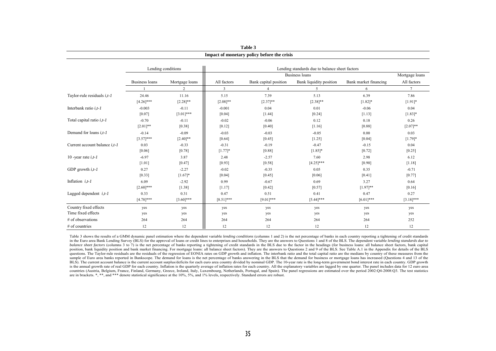|                                      | Impact of monetary policy before the crisis |                    |              |                       |                                                |                       |              |  |  |  |  |  |  |  |
|--------------------------------------|---------------------------------------------|--------------------|--------------|-----------------------|------------------------------------------------|-----------------------|--------------|--|--|--|--|--|--|--|
|                                      |                                             | Lending conditions |              |                       | Lending standards due to balance sheet factors |                       |              |  |  |  |  |  |  |  |
|                                      |                                             |                    |              | <b>Business loans</b> |                                                |                       |              |  |  |  |  |  |  |  |
|                                      | Business loans                              | Mortgage loans     | All factors  | Bank capital position | Bank liquidity position                        | Bank market financing | All factors  |  |  |  |  |  |  |  |
|                                      |                                             | $\overline{2}$     | 3            | $\overline{4}$        | 5                                              | 6                     | $\tau$       |  |  |  |  |  |  |  |
| Taylor-rule residuals $i, t$ -1      | 24.46                                       | 11.16              | 5.15         | 7.39                  | 5.13                                           | 6.39                  | 7.86         |  |  |  |  |  |  |  |
|                                      | $[4.26]$ ***                                | $[2.28]$ **        | $[2.08]$ **  | $[2.37]^{**}$         | $[2.38]$ **                                    | $[1.82]*$             | $[1.91]*$    |  |  |  |  |  |  |  |
| Interbank ratio $i.t-1$              | $-0.003$                                    | $-0.11$            | $-0.001$     | 0.04                  | 0.01                                           | $-0.06$               | 0.04         |  |  |  |  |  |  |  |
|                                      | [0.07]                                      | $[3.01]$ ***       | [0.04]       | [1.44]                | [0.24]                                         | [1.13]                | $[1.83]*$    |  |  |  |  |  |  |  |
| Total capital ratio $i, t$ -1        | $-0.70$                                     | $-0.11$            | $-0.02$      | $-0.06$               | 0.12                                           | 0.18                  | 0.26         |  |  |  |  |  |  |  |
|                                      | $[2.01]**$                                  | [0.38]             | [0.12]       | $[0.40]$              | [1.16]                                         | [0.88]                | $[2.07]**$   |  |  |  |  |  |  |  |
| Demand for loans $i.t-1$             | $-0.14$                                     | $-0.09$            | $-0.03$      | $-0.03$               | $-0.05$                                        | 0.00                  | 0.03         |  |  |  |  |  |  |  |
|                                      | $[3.57]$ ***                                | $[2.40]$ **        | [0.64]       | [0.45]                | [1.25]                                         | [0.04]                | $[1.79]$ *   |  |  |  |  |  |  |  |
| Current account balance <i>i.t-1</i> | 0.03                                        | $-0.33$            | $-0.31$      | $-0.19$               | $-0.47$                                        | $-0.15$               | 0.04         |  |  |  |  |  |  |  |
|                                      | [0.06]                                      | [0.78]             | $[1.77]$ *   | [0.88]                | $[1.85]$ *                                     | [0.72]                | [0.25]       |  |  |  |  |  |  |  |
| 10 -year rate $i, t$ -1              | $-6.97$                                     | 3.87               | 2.48         | $-2.57$               | 7.60                                           | 2.98                  | 6.12         |  |  |  |  |  |  |  |
|                                      | [1.01]                                      | [0.47]             | [0.93]       | [0.58]                | $[4.25]$ ***                                   | [0.90]                | [1.18]       |  |  |  |  |  |  |  |
| GDP growth $i, t$ -1                 | 0.27                                        | $-2.27$            | $-0.02$      | $-0.35$               | 0.05                                           | 0.35                  | $-0.71$      |  |  |  |  |  |  |  |
|                                      | [0.33]                                      | $[1.67]*$          | [0.04]       | [0.45]                | [0.06]                                         | [0.41]                | [0.77]       |  |  |  |  |  |  |  |
| Inflation $i, t$ -1                  | 6.09                                        | $-2.92$            | 0.99         | $-0.67$               | 0.69                                           | 3.27                  | 0.64         |  |  |  |  |  |  |  |
|                                      | $[2.60]$ ***                                | [1.38]             | [1.17]       | [0.42]                | [0.57]                                         | $[1.97]**$            | [0.16]       |  |  |  |  |  |  |  |
| Lagged dependent $i, t$ -1           | 0.33                                        | 0.31               | 0.47         | 0.51                  | 0.41                                           | 0.47                  | 0.27         |  |  |  |  |  |  |  |
|                                      | $[4.78]$ ***                                | $[3.60]$ ***       | $[8.51]$ *** | $[9.01]$ ***          | $[5.44]$ ***                                   | $[6.01]$ ***          | $[3.18]$ *** |  |  |  |  |  |  |  |
| Country fixed effects                | yes                                         | yes                | yes          | yes                   | yes                                            | yes                   | yes          |  |  |  |  |  |  |  |
| Time fixed effects                   | yes                                         | yes                | yes          | yes                   | yes                                            | yes                   | yes          |  |  |  |  |  |  |  |
| # of observations                    | 264                                         | 264                | 264          | 264                   | 264                                            | 264                   | 252          |  |  |  |  |  |  |  |
| # of countries                       | 12                                          | 12                 | 12           | 12                    | 12                                             | 12                    | 12           |  |  |  |  |  |  |  |

**Table 3**

Table 3 shows the results of a GMM dynamic panel estimation where the dependent variable *lending conditions* (columns 1 and 2) is the net percentage of banks in each country reporting a tightening of credit standards in the Euro area Bank Lending Survey (BLS) for the approval of loans or credit lines to enterprises and households. They are the answers to Questions 1 and 8 of the BLS. The dependent variable lending standards due to balance sheet factors (columns 3 to 7) is the net percentage of banks reporting a tightening of credit standards in the BLS due to the factor in the headings (for business loans: all balance sheet factors, bank capital position, bank liquidity position and bank market financing. For mortgage loans: all balance sheet factors). They are the answers to Questions 2 and 9 of the BLS. See Table A.1 in the Appendix for details of the BLS questions. The Taylor-rule residuals are the residuals of the regression of EONIA rates on GDP growth and inflation. The interbank ratio and the total capital ratio are the medians by country of these measures from the sample of Euro area banks reported in Bankscope. The demand for loans is the net percentage of banks answering in the BLS that the demand for business or mortgage loans has increased (Questions 4 and 13 of the BLS). The current account balance is the current account surplus/deficits for each euro area country divided by nominal GDP. The 10-year rate is the long-term government bond interest rate in each country. GDP growth is the annual growth rate of real GDP for each country. Inflation is the quarterly average of inflation rates for each country. All the explanatory variables are lagged by one quarter. The panel includes data for 12 euro a countries (Austria, Belgium, France, Finland, Germany, Greece, Ireland, Italy, Luxembourg, Netherlands, Portugal, and Spain). The panel regressions are estimated over the period 2002:Q4-2008:Q3. The test statistics are in brackets. \*, \*\*, and \*\*\* denote statistical significance at the 10%, 5%, and 1% levels, respectively. Standard errors are robust.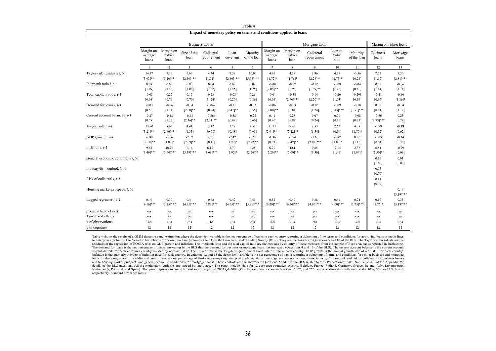|                                                    |                               |                               |                     |                           |                  | Impact of monetary policy on terms and conditions applied to loans |                               |                              |                           |                            |                         |                          |                     |  |  |  |  |  |  |
|----------------------------------------------------|-------------------------------|-------------------------------|---------------------|---------------------------|------------------|--------------------------------------------------------------------|-------------------------------|------------------------------|---------------------------|----------------------------|-------------------------|--------------------------|---------------------|--|--|--|--|--|--|
|                                                    |                               |                               |                     | <b>Business Loans</b>     |                  |                                                                    |                               |                              | Mortgage Loan             |                            |                         | Margin on riskier loans  |                     |  |  |  |  |  |  |
|                                                    | Margin on<br>average<br>loans | Margin on<br>riskier<br>loans | Size of the<br>loan | Collateral<br>requirement | Loan<br>covenant | Maturity<br>of the loan                                            | Margin on<br>average<br>loans | Margin on<br>riskier<br>loan | Collateral<br>requirement | Loan-to-<br>Value<br>ratio | Maturity<br>of the loan | <b>Business</b><br>loans | Mortgage<br>loans   |  |  |  |  |  |  |
|                                                    | -1                            | $\overline{2}$                | 3                   | $\overline{4}$            | 5                | 6                                                                  | $7\phantom{.0}$               | $\,$ 8 $\,$                  | 9                         | 10                         | 11                      | 12                       | 13                  |  |  |  |  |  |  |
| Taylor-rule residuals i, t-1                       | 14.17                         | 9.10                          | 5.63                | 4.44                      | 7.39             | 10.05                                                              | 4.95                          | 4.38                         | 2.96                      | 4.38                       | $-0.56$                 | 7.57                     | 9.30                |  |  |  |  |  |  |
|                                                    | $[3.93]***$                   | $[3.10]$ ***                  | $[2.59]$ ***        | $[1.91]*$                 | $[2.60]$ ***     | $[5.06]$ ***                                                       | $[1.72]$ *                    | $[1.76]$ *                   | $[2.28]$ **               | $[1.75]$ *                 | [0.24]                  | [1.57]                   | $[2.81]$ ***        |  |  |  |  |  |  |
| Interbank ratio i, t-1                             | 0.08                          | 0.05                          | 0.03                | 0.04                      | 0.08             | 0.09                                                               | $-0.08$                       | $-0.07$                      | $-0.06$                   | $-0.09$                    | $-0.04$                 | 0.06                     | $-0.06$             |  |  |  |  |  |  |
|                                                    | [1.09]                        | [1.40]                        | [1.04]              | [1.27]                    | [1.45]           | [1.25]                                                             | $[2.04]$ **                   | [0.98]                       | $[1.99]$ **               | $[1.22]$                   | [0.80]                  | [1.41]                   | [1.18]              |  |  |  |  |  |  |
| Total capital ratio i, t-1                         | $-0.03$                       | 0.27                          | 0.15                | 0.23                      | $-0.08$          | 0.26                                                               | $-0.01$                       | $-0.34$                      | 0.14                      | $-0.26$                    | $-0.298$                | $-0.41$                  | $-0.40$             |  |  |  |  |  |  |
|                                                    | [0.08]                        | [0.76]                        | [0.70]              | [1.24]                    | [0.20]           | [0.86]                                                             | [0.04]                        | $[2.60]$ ***                 | $[2.20]$ **               | [1.03]                     | [0.96]                  | [0.97]                   | $[1.86]$ *          |  |  |  |  |  |  |
| Demand for loans $i, t-1$                          | $-0.03$                       | $-0.06$                       | $-0.04$             | $-0.049$                  | $-0.11$          | $-0.03$                                                            | $-0.06$                       | $-0.03$                      | $-0.03$                   | $-0.09$                    | $-0.10$                 | 0.00                     | $-0.04$             |  |  |  |  |  |  |
|                                                    | [0.56]                        | [1.14]                        | $[2.08]$ **         | [0.84]                    | $[2.47]$ **      | [0.55]                                                             | $[2.00]**$                    | [0.84]                       | [1.24]                    | $[3.83]***$                | $[3.51]***$             | [0.01]                   | [1.12]              |  |  |  |  |  |  |
| Current account balance i, t-1                     | $-0.27$                       | $-0.48$                       | $-0.48$             | $-0.566$                  | $-0.38$          | $-0.22$                                                            | 0.41                          | 0.28                         | 0.07                      | 0.04                       | $-0.08$                 | $-0.66$                  | 0.23                |  |  |  |  |  |  |
|                                                    | [0.78]                        | [1.33]                        | $[2.36]$ **         | $[2.11]$ **               | [0.98]           | [0.60]                                                             | [0.46]                        | [0.84]                       | [0.24]                    | [0.15]                     | [0.21]                  | $[2.73]***$              | [0.74]              |  |  |  |  |  |  |
| 10-year rate $i, t-1$                              | 13.70                         | 8.63                          | 4.41                | 3.12                      | 1.77             | 2.57                                                               | 11.31                         | 7.43                         | 2.53                      | 2.63                       | 4.39                    | $-2.79$                  | $-0.18$             |  |  |  |  |  |  |
|                                                    | $[3.21]$ ***                  | $[2.66]$ ***                  | [1.33]              | [0.98]                    | [0.48]           | [0.93]                                                             | $[2.91]***$                   | $[2.42]$ **                  | [1.54]                    | [0.94]                     | $[1.70]$ *              | [0.32]                   | [0.02]              |  |  |  |  |  |  |
| GDP growth $i, t-1$                                | $-2.88$                       | $-2.66$                       | $-2.07$             | $-0.12$                   | $-2.42$          | $-1.60$                                                            | $-1.36$                       | $-1.94$                      | $-1.60$                   | $-2.82$                    | 0.86                    | $-0.03$                  | $-0.44$             |  |  |  |  |  |  |
|                                                    | $[2.10]$ **                   | $[1.82]$ *                    | $[2.09]$ **         | [0.11]                    | $[1.72]$ *       | $[2.22]$ **                                                        | [0.71]                        | $[2.42]$ **                  | $[2.92]***$               | $[1.80]$ *                 | [1.15]                  | [0.01]                   | [0.38]              |  |  |  |  |  |  |
| Inflation $i, t-1$                                 | 9.65                          | 10.20                         | 6.16                | 6.121                     | 3.70             | 6.25                                                               | 6.20                          | 4.61                         | 0.85                      | $-2.14$                    | 2.38                    | 6.81                     | $-0.29$             |  |  |  |  |  |  |
|                                                    | $[3.49]$ ***                  | $[3.64]$ ***                  | $[3.39]***$         | $[3.68]$ ***              | $[1.92]*$        | $[2.26]$ **                                                        | $[2.20]$ **                   | $[2.09]$ **                  | [1.30]                    | [1.49]                     | $[1.94]$ *              | $[2.50]$ **              | [0.09]              |  |  |  |  |  |  |
| General economic conditions <i>i</i> , <i>t</i> -1 |                               |                               |                     |                           |                  |                                                                    |                               |                              |                           |                            |                         | 0.10<br>[1.60]           | 0.01<br>[0.07]      |  |  |  |  |  |  |
| Industry/firm outlook i, t-1                       |                               |                               |                     |                           |                  |                                                                    |                               |                              |                           |                            |                         | 0.05<br>[0.79]           |                     |  |  |  |  |  |  |
| Risk of collateral $i, t-1$                        |                               |                               |                     |                           |                  |                                                                    |                               |                              |                           |                            |                         | 0.11<br>[0.94]           |                     |  |  |  |  |  |  |
| Housing market prospects $i, t-1$                  |                               |                               |                     |                           |                  |                                                                    |                               |                              |                           |                            |                         |                          | 0.16<br>$[3.19]***$ |  |  |  |  |  |  |
| Lagged regressor $i, t-1$                          | 0.49                          | 0.39                          | 0.44                | 0.62                      | 0.42             | 0.41                                                               | 0.52                          | 0.49                         | 0.38                      | 0.44                       | 0.24                    | 0.17                     | 0.35                |  |  |  |  |  |  |
|                                                    | $[9.16]***$                   | $[5.25]***$                   | $[4.71]$ ***        | $[6.81]***$               | $[4.55]$ ***     | $[5.86]$ ***                                                       | $[6.29]$ ***                  | $[6.34]$ ***                 | $[4.96]$ ***              | $[4.00]$ ***               | $[3.73]***$             | $[1.76]$ *               | $[5.18]$ ***        |  |  |  |  |  |  |
| Country fixed effects                              | yes                           | yes                           | yes                 | yes                       | yes              | yes                                                                | yes                           | yes                          | yes                       | yes                        | yes                     | yes                      | yes                 |  |  |  |  |  |  |
| Time fixed effects                                 | yes                           | yes                           | yes                 | yes                       | yes              | yes                                                                | yes                           | yes                          | yes                       | yes                        | yes                     | yes                      | yes                 |  |  |  |  |  |  |
| # of observations                                  | 264                           | 264                           | 264                 | 264                       | 264              | 264                                                                | 264                           | 264                          | 264                       | 264                        | 264                     | 264                      | 264                 |  |  |  |  |  |  |
| # of countries                                     | 12                            | 12                            | 12                  | 12                        | 12               | 12                                                                 | 12                            | 12                           | 12                        | 12                         | 12                      | 12                       | 12                  |  |  |  |  |  |  |

**Table 4**

Table 4 shows the results of a GMM dynamic panel estimation where the dependent variable is the net percentage of banks in each country reporting a tightening of the terms and conditions for approving loans or credit lines residuals of the regression of EONIA rates on GDP growth and inflation. The interbank ratio and the total capital ratio are the medians by country of these measures from the sample of Euro area banks reported in Bankscope. The demand for loans is the net percentage of banks answering in the BLS that the demand for business or mortgage loans has increased (Questions 4 and 13 of the BLS). The current account balance is the current account surplus/deficits for each euro area country divided by nominal GDP. The 10-year rate is the long-term government bond interest rate in each country. GDP growth is the annual growth rate of real GDP for each country. Inflation is the quarterly average of inflation rates for each country. In columns 12 and 13 the dependent variable is the net percentage of banks reporting a tightening of terms and conditions for riskier business and mor lands in the set of matter and controls are: the net percentage of banks reporting a tightening of credit standards due to general economic conditions, industry/firm outlook and risk of collateral (for business loans) band to housing market prospects and general economic conditions (for mortgage loans). These controls are the answers to Questions 2 and 9 of the BLS related to "C - Perception of risk". See Table A.1 of the Appendix for a details of the BLS questions. All the explanatory variables are lagged by one quarter. The panel includes data for 12 euro area countries (Austria, Belgium, France, Finland, Germany, Greece, Ireland, Italy, Luxembourg, Netherlands, Portugal, and Spain). The panel regressions are estimated over the period 2002:Q4-2008:Q3. The test statistics are in brackets. \*, \*\*, and \*\*\* denote statistical significance at the 10%, 5%, and 1% levels, Ne respectively. Standard errors are robust.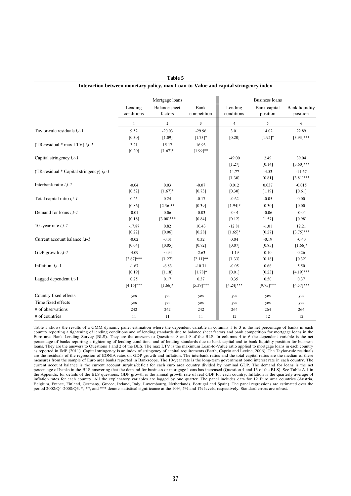|                                                   |                       | Mortgage loans                  |                     |                       | <b>Business loans</b>    |                                   |
|---------------------------------------------------|-----------------------|---------------------------------|---------------------|-----------------------|--------------------------|-----------------------------------|
|                                                   | Lending<br>conditions | <b>Balance</b> sheet<br>factors | Bank<br>competition | Lending<br>conditions | Bank capital<br>position | <b>Bank liquidity</b><br>position |
|                                                   | $\mathbf{1}$          | $\sqrt{2}$                      | 3                   | $\overline{4}$        | 5                        | 6                                 |
| Taylor-rule residuals $i, t$ -1                   | 9.52                  | $-20.03$                        | $-29.96$            | 3.01                  | 14.02                    | 22.89                             |
|                                                   | $[0.30]$              | [1.09]                          | $[1.73]$ *          | [0.20]                | $[1.92]*$                | $[3.93]$ ***                      |
| (TR-residual $*$ max LTV) <i>i,t-1</i>            | 3.21                  | 15.17                           | 16.93               |                       |                          |                                   |
|                                                   | [0.20]                | $[1.67]*$                       | $[1.99]$ **         |                       |                          |                                   |
| Capital stringency $i, t$ -1                      |                       |                                 |                     | $-49.00$              | 2.49                     | 39.04                             |
|                                                   |                       |                                 |                     | $[1.27]$              | [0.14]                   | $[3.60]$ ***                      |
| (TR-residual $*$ Capital stringency) <i>i,t-1</i> |                       |                                 |                     | 14.77                 | $-4.53$                  | $-11.67$                          |
|                                                   |                       |                                 |                     | [1.30]                | $[0.81]$                 | $[3.81]$ ***                      |
| Interbank ratio <i>i</i> , t-1                    | $-0.04$               | 0.03                            | $-0.07$             | 0.012                 | 0.037                    | $-0.015$                          |
|                                                   | [0.52]                | $[1.67]*$                       | [0.73]              | $[0.30]$              | [1.19]                   | [0.61]                            |
| Total capital ratio $i, t$ -1                     | 0.25                  | 0.24                            | $-0.17$             | $-0.62$               | $-0.05$                  | 0.00                              |
|                                                   | [0.86]                | $[2.36]$ **                     | [0.39]              | $[1.94]$ *            | [0.30]                   | [0.00]                            |
| Demand for loans $i, t$ -1                        | $-0.01$               | 0.06                            | $-0.03$             | $-0.01$               | $-0.06$                  | $-0.04$                           |
|                                                   | [0.18]                | $[3.08]$ ***                    | [0.84]              | $[0.12]$              | $[1.57]$                 | [0.98]                            |
| 10 - year rate $i, t$ -1                          | $-17.87$              | 0.82                            | 10.43               | $-12.81$              | $-1.01$                  | 12.21                             |
|                                                   | [0.22]                | [0.06]                          | [0.28]              | $[1.65]*$             | [0.27]                   | $[3.75]$ ***                      |
| Current account balance <i>i,t-1</i>              | $-0.02$               | $-0.01$                         | 0.32                | 0.04                  | $-0.19$                  | $-0.40$                           |
|                                                   | [0.04]                | [0.05]                          | [0.72]              | [0.07]                | [0.85]                   | $[1.66]$ *                        |
| GDP growth $i, t$ -1                              | $-4.09$               | $-0.94$                         | $-2.63$             | $-1.19$               | 0.10                     | 0.26                              |
|                                                   | $[2.67]***$           | [1.27]                          | $[2.11]$ **         | [1.33]                | [0.18]                   | [0.32]                            |
| Inflation $i, t$ -1                               | $-1.67$               | $-6.83$                         | $-10.31$            | $-0.05$               | 0.66                     | 5.50                              |
|                                                   | [0.19]                | [1.18]                          | $[1.78]$ *          | [0.01]                | [0.23]                   | $[4.19]$ ***                      |
| Lagged dependent i,t-1                            | 0.25                  | 0.17                            | 0.37                | 0.35                  | 0.50                     | 0.37                              |
|                                                   | $[4.16]$ ***          | $[1.66]$ *                      | $[5.39]$ ***        | $[4.24]$ ***          | $[9.75]***$              | $[4.57]$ ***                      |
| Country fixed effects                             | yes                   | yes                             | yes                 | yes                   | yes                      | yes                               |
| Time fixed effects                                | yes                   | yes                             | yes                 | yes                   | yes                      | yes                               |
| # of observations                                 | 242                   | 242                             | 242                 | 264                   | 264                      | 264                               |
| $#$ of countries                                  | 11                    | 11                              | 11                  | 12                    | 12                       | 12                                |

#### **Table 5 Interaction between monetary policy, max Loan-to-Value and capital stringency index**

Table 5 shows the results of a GMM dynamic panel estimation where the dependent variable in columns 1 to 3 is the net percentage of banks in each country reporting a tightening of lending conditions and of lending standards due to balance sheet factors and bank competition for mortgage loans in the Euro area Bank Lending Survey (BLS). They are the answers to Questions 8 and 9 of the BLS. In columns 4 to 6 the dependent variable is the net percentage of banks reporting a tightening of lending conditions and of lending standards due to bank capital and to bank liquidity position for business<br>loans. They are the answers to Questions 1 and 2 of the BLS. The max as reported in IMF (2011). Capital stringency is an index of stringency of capital requirements (Barth, Caprio and Levine, 2006). The Taylor-rule residuals are the regression of EONIA rates on GDP growth and inflation. The measures from the sample of Euro area banks reported in Bankscope. The 10-year rate is the long-term government bond interest rate in each country. The current account balance is the current account surplus/deficit for each euro area country divided by nominal GDP. The demand for loans is the net percentage of banks in the BLS answering that the demand for business or mortgage loans has increased (Question 4 and 13 of the BLS). See Table A.1 in the Appendix for details of the BLS questions. GDP growth is the annual growth rate of real GDP for each country. Inflation is the quarterly average of inflation rates for each country. All the explanatory variables are lagged by one quarter. The panel includes data for 12 Euro area countries (Austria, Belgium, France, Finland, Germany, Greece, Ireland, Italy, Luxembourg,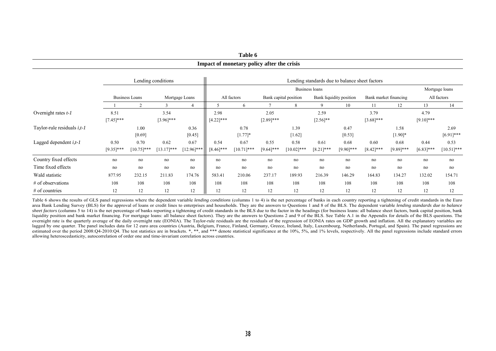|                                 |                      |                       |                       |                       |                      | Impact of monetary policy after the crisis |                      |                       |                      |                                                |                      |                       |                      |                       |
|---------------------------------|----------------------|-----------------------|-----------------------|-----------------------|----------------------|--------------------------------------------|----------------------|-----------------------|----------------------|------------------------------------------------|----------------------|-----------------------|----------------------|-----------------------|
|                                 |                      |                       | Lending conditions    |                       |                      |                                            |                      |                       |                      | Lending standards due to balance sheet factors |                      |                       |                      |                       |
|                                 |                      |                       |                       |                       |                      |                                            |                      |                       | Business loans       |                                                |                      |                       |                      | Mortgage loans        |
|                                 |                      | <b>Business Loans</b> |                       | Mortgage Loans        |                      | All factors                                |                      | Bank capital position |                      | Bank liquidity position                        |                      | Bank market financing |                      | All factors           |
|                                 |                      |                       |                       | 4                     |                      |                                            |                      | 8                     | 9                    | 10                                             | 11                   | 12                    | 13                   | 14                    |
| Overnight rates $t-1$           | 8.51<br>$[7.45]$ *** |                       | 3.54<br>$[3.96]$ ***  |                       | 2.98<br>$[4.22]$ *** |                                            | 2.05<br>$[2.89]$ *** |                       | 2.59<br>$[2.56]$ **  |                                                | 3.79<br>$[3.68]$ *** |                       | 4.79<br>$[9.10]$ *** |                       |
| Taylor-rule residuals $i, t$ -1 |                      | 1.00<br>[0.69]        |                       | 0.36<br>[0.45]        |                      | 0.78<br>$[1.77]$ *                         |                      | 1.39<br>$[1.62]$      |                      | 0.47<br>[0.53]                                 |                      | 1.58<br>$[1.90]$ *    |                      | 2.69<br>$[6.91]$ ***  |
| Lagged dependent i,t-1          | 0.50<br>$[9.35]$ *** | 0.70<br>$[10.75]$ *** | 0.62<br>$[13.17]$ *** | 0.67<br>$[12.96]$ *** | 0.54<br>$[8.46]$ *** | 0.67<br>$[10.71]***$                       | 0.55<br>$[9.64]$ *** | 0.58<br>$[10.02]$ *** | 0.61<br>$[8.21]$ *** | 0.68<br>$[9.90]$ ***                           | 0.60<br>$[8.42]$ *** | 0.68<br>$[9.89]$ ***  | 0.44<br>$[6.83]$ *** | 0.53<br>$[10.51]$ *** |
| Country fixed effects           | no                   | no                    | no                    | no                    | no                   | no                                         | no                   | no                    | no                   | no                                             | no                   | no                    | no                   | no                    |
| Time fixed effects              | no                   | no                    | no                    | no                    | no                   | no                                         | no                   | no                    | no                   | no                                             | no                   | no                    | no                   | no                    |
| Wald statistic                  | 877.95               | 232.15                | 211.83                | 174.76                | 583.41               | 210.06                                     | 237.17               | 189.93                | 216.39               | 146.29                                         | 164.83               | 134.27                | 132.02               | 154.71                |
| # of observations               | 108                  | 108                   | 108                   | 108                   | 108                  | 108                                        | 108                  | 108                   | 108                  | 108                                            | 108                  | 108                   | 108                  | 108                   |
| $#$ of countries                | 12                   | 12                    | 12                    | 12                    | 12                   | 12                                         | 12                   | 12                    | 12                   | 12                                             | 12                   | 12                    | 12                   | 12                    |

Table 6 shows the results of GLS panel regressions where the dependent variable *lending conditions* (columns 1 to 4) is the net percentage of banks in each country reporting a tightening of credit standards in the Euro area Bank Lending Survey (BLS) for the approval of loans or credit lines to enterprises and households. They are the answers to Questions 1 and 8 of the BLS. The dependent variable *lending standards due to balance*  sheet factors (columns 5 to 14) is the net percentage of banks reporting a tightening of credit standards in the BLS due to the factor in the headings (for business loans: all balance sheet factors, bank capital position, liquidity position and bank market financing. For mortgage loans: all balance sheet factors). They are the answers to Questions 2 and 9 of the BLS. See Table A.1 in the Appendix for details of the BLS questions. The overnight rate is the quarterly average of the daily overnight rate (EONIA). The Taylor-rule residuals are the residuals of the regression of EONIA rates on GDP growth and inflation. All the explanatory variables are lagged by one quarter. The panel includes data for 12 euro area countries (Austria, Belgium, France, Finland, Germany, Greece, Ireland, Italy, Luxembourg, Netherlands, Portugal, and Spain). The panel regressions are estimated over the period 2008:Q4-2010:Q4. The test statistics are in brackets. \*, \*\*, and \*\*\* denote statistical significance at the 10%, 5%, and 1% levels, respectively. All the panel regressions include standard errors allowing heteroscedasticity, autocorrelation of order one and time-invariant correlation across countries.

**Table 6 Impact of monetary policy after the crisis**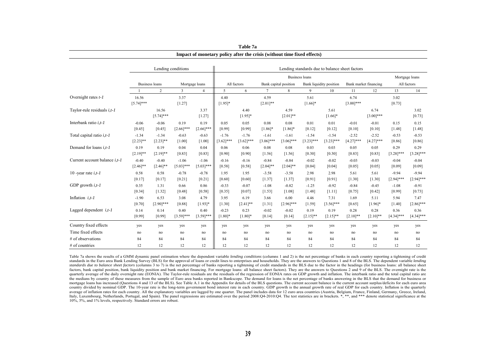|                                 |                        |                        | Lending conditions     |                        | Lending standards due to balance sheet factors |                         |                         |                         |                        |                         |                         |                                      |                         |                         |  |
|---------------------------------|------------------------|------------------------|------------------------|------------------------|------------------------------------------------|-------------------------|-------------------------|-------------------------|------------------------|-------------------------|-------------------------|--------------------------------------|-------------------------|-------------------------|--|
|                                 |                        |                        |                        |                        |                                                | <b>Business loans</b>   |                         |                         |                        |                         |                         |                                      |                         |                         |  |
|                                 |                        | <b>Business loans</b>  |                        | Mortgage loans         |                                                | All factors             |                         | Bank capital position   |                        | Bank liquidity position |                         | Bank market financing<br>All factors |                         |                         |  |
|                                 |                        | $\overline{2}$         | 3                      | $\overline{4}$         | 5                                              | 6                       | $\tau$                  | 8                       | 9                      | 10                      | 11                      | 12                                   | 13                      | 14                      |  |
| Overnight rates t-1             | 16.56<br>$[5.74]$ ***  |                        | 3.37<br>[1.27]         |                        | 4.40<br>$[1.95]$ *                             |                         | 4.59<br>$[2.01]**$      |                         | 5.61<br>$[1.66]$ *     |                         | 6.74<br>$[3.00]$ ***    |                                      | 3.02<br>[0.73]          |                         |  |
| Taylor-rule residuals $i, t$ -1 |                        | 16.56<br>$[5.74]***$   |                        | 3.37<br>[1.27]         |                                                | 4.40<br>$[1.95]*$       |                         | 4.59<br>$[2.01]$ **     |                        | 5.61<br>$[1.66]$ *      |                         | 6.74<br>$[3.00]$ ***                 |                         | 3.02<br>[0.73]          |  |
| Interbank ratio $i, t$ -1       | $-0.06$<br>[0.45]      | $-0.06$<br>[0.45]      | 0.19<br>$[2.66]$ ***   | 0.19<br>$[2.66]$ ***   | 0.05<br>[0.99]                                 | 0.05<br>[0.99]          | 0.08<br>$[1.86]$ *      | 0.08<br>$[1.86]$ *      | 0.01<br>[0.12]         | 0.01<br>[0.12]          | $-0.01$<br>[0.10]       | $-0.01$<br>[0.10]                    | 0.15<br>[1.48]          | 0.15<br>[1.48]          |  |
| Total capital ratio $i, t$ -1   | $-1.34$<br>$[2.23]$ ** | $-1.34$<br>$[2.23]$ ** | $-0.63$<br>[1.00]      | $-0.63$<br>[1.00]      | $-1.76$<br>$[3.62]$ ***                        | $-1.76$<br>$[3.62]$ *** | $-1.61$<br>$[3.06]$ *** | $-1.61$<br>$[3.06]$ *** | $-1.54$<br>$[3.23]***$ | $-1.54$<br>$[3.23]***$  | $-2.52$<br>$[4.27]$ *** | $-2.52$<br>$[4.27]$ ***              | $-0.53$<br>[0.86]       | $-0.53$<br>[0.86]       |  |
| Demand for loans $i, t$ -1      | 0.19<br>$[2.19]$ **    | 0.19<br>$[2.19]$ **    | 0.04<br>[0.83]         | 0.04<br>[0.83]         | 0.06<br>[0.90]                                 | 0.06<br>[0.90]          | 0.08<br>$[1.56]$        | 0.08<br>[1.56]          | 0.03<br>[0.30]         | 0.03<br>[0.30]          | 0.05<br>[0.83]          | 0.05<br>[0.83]                       | 0.29<br>$[3.28]$ ***    | 0.29<br>$[3.28]$ ***    |  |
| Current account balance i,t-1   | $-0.40$<br>$[2.46]$ ** | $-0.40$<br>$[2.46]$ ** | $-1.06$<br>$[5.03]***$ | $-1.06$<br>$[5.03]***$ | $-0.16$<br>[0.58]                              | $-0.16$<br>[0.58]       | $-0.84$<br>$[2.04]$ **  | $-0.84$<br>$[2.04]$ **  | $-0.02$<br>[0.04]      | $-0.02$<br>[0.04]       | $-0.03$<br>[0.05]       | $-0.03$<br>[0.05]                    | $-0.04$<br>[0.09]       | $-0.04$<br>[0.09]       |  |
| 10 -year rate $i, t$ -1         | 0.58<br>[0.17]         | 0.58<br>[0.17]         | $-0.78$<br>[0.21]      | $-0.78$<br>$[0.21]$    | 1.95<br>[0.60]                                 | 1.95<br>[0.60]          | $-3.58$<br>[1.37]       | $-3.58$<br>[1.37]       | 2.98<br>[0.91]         | 2.98<br>[0.91]          | 5.61<br>[1.30]          | 5.61<br>[1.30]                       | $-9.94$<br>$[2.94]$ *** | $-9.94$<br>$[2.94]$ *** |  |
| GDP growth $i, t$ -1            | 0.35<br>[0.34]         | 1.31<br>[1.32]         | 0.66<br>[0.48]         | 0.86<br>[0.58]         | $-0.33$<br>[0.35]                              | $-0.07$<br>[0.07]       | $-1.08$<br>[1.53]       | $-0.82$<br>[1.08]       | $-1.25$<br>[1.48]      | $-0.92$<br>[1.11]       | $-0.84$<br>[0.75]       | $-0.45$<br>$[0.42]$                  | $-1.08$<br>[0.99]       | $-0.91$<br>[0.73]       |  |
| Inflation $i, t$ -1             | $-1.90$<br>[0.70]      | 6.53<br>$[2.90]$ ***   | 3.08<br>[0.88]         | 4.79<br>$[1.93]*$      | 3.95<br>[1.30]                                 | 6.19<br>$[2.41]$ **     | 3.66<br>[1.31]          | 6.00<br>$[2.96]$ ***    | 4.46<br>[1.59]         | 7.31<br>$[3.56]$ ***    | 1.69<br>[0.65]          | 5.11<br>$[1.96]$ *                   | 5.94<br>[1.40]          | 7.47<br>$[2.86]$ ***    |  |
| Lagged dependent $i, t$ -1      | 0.14<br>[0.99]         | 0.14<br>[0.99]         | 0.40<br>$[3.59]$ ***   | 0.40<br>$[3.59]$ ***   | $-0.23$<br>$[1.80]*$                           | 0.23<br>$[1.80]$ *      | $-0.02$<br>[0.14]       | $-0.02$<br>[0.14]       | 0.19<br>$[2.15]$ **    | 0.19<br>$[2.15]$ **     | 0.28<br>$[2.10]$ **     | 0.28<br>$[2.10]$ **                  | 0.36<br>$[4.34]$ ***    | 0.36<br>$[4.34]***$     |  |
| Country fixed effects           | yes                    | yes                    | yes                    | yes                    | yes                                            | yes                     | yes                     | yes                     | yes                    | yes                     | yes                     | yes                                  | yes                     | yes                     |  |
| Time fixed effects              | no                     | no                     | no                     | no                     | no                                             | no                      | no                      | no                      | no                     | no                      | no                      | no                                   | no                      | no                      |  |
| # of observations               | 84                     | 84                     | 84                     | 84                     | 84                                             | 84                      | 84                      | 84                      | 84                     | 84                      | 84                      | 84                                   | 84                      | 84                      |  |
| $#$ of countries                | 12                     | 12                     | 12                     | 12                     | 12                                             | 12                      | 12                      | 12                      | 12                     | 12                      | 12                      | 12                                   | 12                      | 12                      |  |

| Table 7a                                                                |
|-------------------------------------------------------------------------|
| Impact of monetary policy after the crisis (without time fixed effects) |

Table 7a shows the results of a GMM dynamic panel estimation where the dependent variable *lending conditions* (columns 1 and 2) is the net percentage of banks in each country reporting a tightening of credit standards in the Euro area Bank Lending Survey (BLS) for the approval of loans or credit lines to enterprises and households. They are the answers to Questions 1 and 8 of the BLS. The dependent variable *lending standards due to balance sheet factors* (columns 3 to 7) is the net percentage of banks reporting a tightening of credit standards in the BLS due to the factor in the headings (for business loans: all balance sheet factors, bank capital position, bank liquidity position and bank market financing. For mortgage loans: all balance sheet factors). They are the answers to Questions 2 and 9 of the BLS. The overnight rate is the quarterly average of the daily overnight rate (EONIA). The Taylor-rule residuals are the residuals of the regression of EONIA rates on GDP growth and inflation. The interbank ratio and the total capital ratio are the medians by country of these measures from the sample of Euro area banks reported in Bankscope. The demand for loans is the net percentage of banks answering in the BLS that the demand for business or mortgage loans has increased (Questions 4 and 13 of the BLS). See Table A.1 in the Appendix for details of the BLS questions. The current account balance is the current account surplus/deficits for each euro area country divided by nominal GDP. The 10-year rate is the long-term government bond interest rate in each country. GDP growth is the annual growth rate of real GDP for each country. Inflation is the quarterly average of inflation rates for each country. All the explanatory variables are lagged by one quarter. The panel includes data for 12 euro area countries (Austria, Belgium, France, Finland, Germany, Greece, Ireland, Italy, Luxembourg, Netherlands, Portugal, and Spain). The panel regressions are estimated over the period 2008:Q4-2010:Q4. The test statistics are in brackets. \*, \*\*, and \*\*\* denote statistical significance at the 10%, 5%, and 1% levels, respectively. Standard errors are robust.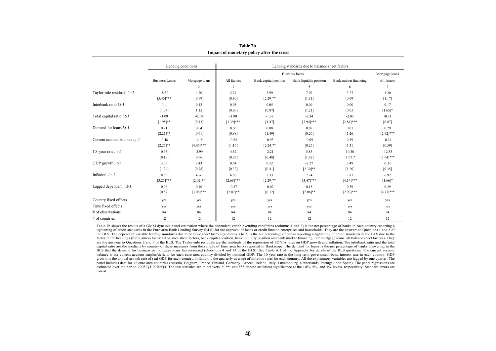|                                      | Impact of monetary policy after the crisis |                    |              |                       |                                                |                       |                               |  |  |  |  |  |  |
|--------------------------------------|--------------------------------------------|--------------------|--------------|-----------------------|------------------------------------------------|-----------------------|-------------------------------|--|--|--|--|--|--|
|                                      |                                            | Lending conditions |              |                       | Lending standards due to balance sheet factors |                       |                               |  |  |  |  |  |  |
|                                      |                                            |                    |              | <b>Business loans</b> |                                                |                       |                               |  |  |  |  |  |  |
|                                      | <b>Business Loans</b>                      | Mortgage loans     | All factors  | Bank capital position | Bank liquidity position                        | Bank market financing | Mortgage loans<br>All factors |  |  |  |  |  |  |
|                                      |                                            | $\overline{2}$     | $\mathbf{3}$ | $\overline{4}$        | 5                                              | 6                     | $7\overline{ }$               |  |  |  |  |  |  |
| Taylor-rule residuals $i, t$ -1      | 18.30                                      | 4.70               | 2.74         | 3.99                  | 7.07                                           | 3.27                  | 4.20                          |  |  |  |  |  |  |
|                                      | $[5.46]$ ***                               | [0.99]             | [0.80]       | $[2.29]$ **           | [1.31]                                         | [0.69]                | [1.17]                        |  |  |  |  |  |  |
| Interbank ratio $i, t$ -1            | $-0.11$                                    | 0.12               | 0.05         | 0.05                  | 0.09                                           | 0.00                  | 0.17                          |  |  |  |  |  |  |
|                                      | [1.04]                                     | [1.15]             | [0.90]       | [0.87]                | $[1.21]$                                       | [0.05]                | $[1.65]$ *                    |  |  |  |  |  |  |
| Total capital ratio $i, t$ -1        | $-1.09$                                    | $-0.10$            | $-1.90$      | $-1.38$               | $-2.34$                                        | $-2.03$               | $-0.71$                       |  |  |  |  |  |  |
|                                      | $[1.98]$ **                                | [0.13]             | $[3.39]$ *** | [1.47]                | $[3.94]$ ***                                   | $[2.84]$ ***          | [0.87]                        |  |  |  |  |  |  |
| Demand for loans $i.t-1$             | 0.21                                       | 0.04               | 0.06         | 0.08                  | 0.02                                           | 0.07                  | 0.29                          |  |  |  |  |  |  |
|                                      | $[2.21]**$                                 | [0.61]             | [0.88]       | [1.49]                | [0.26]                                         | [1.26]                | $[2.92]$ ***                  |  |  |  |  |  |  |
| Current account balance <i>i.t-1</i> | $-0.48$                                    | $-1.15$            | $-0.24$      | $-0.93$               | $-0.09$                                        | 0.39                  | $-0.24$                       |  |  |  |  |  |  |
|                                      | $[2.25]$ **                                | $[4.06]$ ***       | [1.16]       | $[2.24]$ **           | $[0.25]$                                       | $[1.31]$              | [0.59]                        |  |  |  |  |  |  |
| 10 - vear rate $i, t$ -1             | 0.63                                       | $-3.99$            | 4.52         | $-2.21$               | 5.83                                           | 10.30                 | $-12.53$                      |  |  |  |  |  |  |
|                                      | [0.19]                                     | [0.96]             | [0.95]       | [0.48]                | [1.42]                                         | $[1.67]*$             | $[3.64]$ ***                  |  |  |  |  |  |  |
| GDP growth $i, t$ -1                 | 3.03                                       | 2.43               | 0.54         | 0.52                  | $-2.27$                                        | 3.49                  | $-1.16$                       |  |  |  |  |  |  |
|                                      | [1.24]                                     | [0.78]             | [0.32]       | [0.41]                | $[2.30]$ **                                    | $[1.20]$              | [0.35]                        |  |  |  |  |  |  |
| Inflation $i,t-1$                    | 8.55                                       | 4.86               | 6.56         | 7.33                  | 7.24                                           | 7.87                  | 6.92                          |  |  |  |  |  |  |
|                                      | $[3.25]***$                                | $[2.02]$ **        | $[2.68]$ *** | $[2.29]$ **           | $[3.47]$ ***                                   | $[4.14]***$           | $[1.66]$ *                    |  |  |  |  |  |  |
| Lagged dependent $i, t-1$            | 0.06                                       | 0.40               | $-0.27$      | $-0.02$               | 0.18                                           | 0.39                  | 0.39                          |  |  |  |  |  |  |
|                                      | [0.57]                                     | $[3.08]$ ***       | $[2.07]**$   | [0.12]                | $[2.06]$ **                                    | $[2.92]$ ***          | $[4.71]$ ***                  |  |  |  |  |  |  |
| Country fixed effects                | yes                                        | yes                | yes          | yes                   | yes                                            | yes                   | yes                           |  |  |  |  |  |  |
| Time fixed effects                   | yes                                        | yes                | yes          | yes                   | yes                                            | yes                   | yes                           |  |  |  |  |  |  |
| # of observations                    | 84                                         | 84                 | 84           | 84                    | 84                                             | 84                    | 84                            |  |  |  |  |  |  |
| $#$ of countries                     | 12                                         | 12                 | 12           | 12                    | 12                                             | 12                    | 12                            |  |  |  |  |  |  |

| Table 7b |  |
|----------|--|
|----------|--|

the BLS. The dependent variable *lending standards due to balance sheet factors* (columns 3 to 7) is the net percentage of banks reporting a tightening of credit standards in the BLS due to the BLS due to the Table 7b shows the results of a GMM dynamic panel estimation where the dependent variable *lending conditions* (columns 1 and 2) is the net percentage of banks in each country reporting a tightening of credit standards in the Euro area Bank Lending Survey (BLS) for the approval of loans or credit lines to enterprises and households. They are the answers to Questions 1 and 8 of factor in the headings (for business loans: all balance sheet factors, bank capital position, bank liquidity position and bank market financing. For mortgage loans: all balance sheet factors). They are the answers to Questions 2 and 9 of the BLS. The Taylor-rule residuals are the residuals of the regression of EONIA rates on GDP growth and inflation. The interbank ratio and the total capital ratio are the medians by country of these measures from the sample of Euro area banks reported in Bankscope. The demand for loans is the net percentage of banks answering in the BLS that the demand for business or mortgage loans has increased (Questions 4 and 13 of the BLS). See Table A.1 of the Appendix for details of the BLS questions. The current account balance is the current account surplus/deficits for each euro area country divided by nominal GDP. The 10-year rate is the long-term government bond interest rate in each country. GDP growth is the annual growth rate of real GDP for each country. Inflation is the quarterly average of inflation rates for each country. All the explanatory variables are lagged by one quarter. The growth is the annual growt panel includes data for 12 euro area countries (Austria, Belgium, France, Finland, Germany, Greece, Ireland, Italy, Luxembourg, Netherlands, Portugal, and Spain). The panel regressions are estimated over the period 2008:Q4-2010:Q4. The test statistics are in brackets. \*, \*\*, and \*\*\* denote statistical significance at the 10%, 5%, and 1% levels, respectively. Standard errors are robust.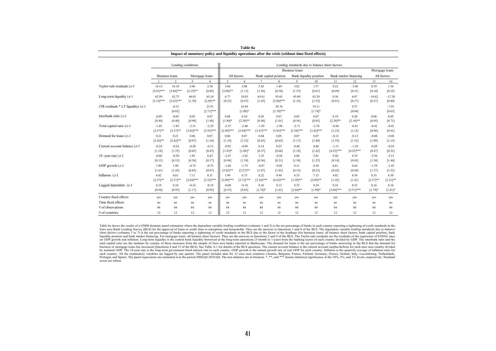|                                     |                                         |                   | Lending conditions |                      |                       |                                                                         |                         |                       |                       |                     |             |                |             |                   |
|-------------------------------------|-----------------------------------------|-------------------|--------------------|----------------------|-----------------------|-------------------------------------------------------------------------|-------------------------|-----------------------|-----------------------|---------------------|-------------|----------------|-------------|-------------------|
|                                     |                                         |                   |                    |                      |                       | Lending standards due to balance sheet factors<br><b>Business loans</b> |                         |                       |                       |                     |             | Mortgage loans |             |                   |
|                                     | <b>Business loans</b><br>Mortgage loans |                   | All factors        |                      | Bank capital position |                                                                         | Bank liquidity position |                       | Bank market financing |                     | All factors |                |             |                   |
|                                     |                                         | $\overline{2}$    | $\overline{3}$     | $\overline{4}$       | 5                     | 6                                                                       | $\tau$                  | 8                     | $\mathbf{Q}$          | 10                  | 11          | 12             | 13          | 14                |
| Taylor-rule residuals i, t-1        | 16.13                                   | 16.18             | 5.06               | 2.38                 | 5.04                  | 3.08                                                                    | 5.42                    | 1.49                  | 3.82                  | 1.57                | 0.22        | $-1.00$        | 0.39        | 1.36              |
|                                     | $[5.01]***$                             | $[3.84]***$       | $[2.19]$ **        | [0.89]               | $[2.06]$ **           | [1.13]                                                                  | [1.56]                  | [0.38]                | [1.53]                | [0.61]              | [0.09]      | [0.31]         | [0.10]      | [0.25]            |
| Long-term liquidity i,t-1           | 62.99                                   | 62.75             | 46.03              | 65.18                | 6.77                  | 18.03                                                                   | 65.61                   | 93.65                 | 45.89                 | 62.29               | 0.38        | 6.07           | $-10.82$    | $-17.30$          |
|                                     | $[3.14]***$                             | $[2.62]***$       | [1.39]             | $[2.05]$ **          | [0.25]                | [0.47]                                                                  | [1.43]                  | $[2.96]$ ***          | [1.16]                | [1.52]              | [0.01]      | [0.17]         | [0.27]      | [0.40]            |
| (TR residuals * LT liquidity) i,t-1 |                                         | $-0.33$<br>[0.03] |                    | 23.91<br>$[2.71]***$ |                       | 16.94<br>$[1.80]$ *                                                     |                         | 34.76<br>$[3.70]$ *** |                       | 19.11<br>$[1.74]$ * |             | 9.37<br>[0.84] |             | $-7.93$<br>[0.63] |
| Interbank ratio $i.t-1$             | $-0.05$                                 | $-0.05$           | 0.05               | 0.07                 | 0.08                  | 0.10                                                                    | 0.03                    | 0.07                  | 0.05                  | 0.07                | 0.19        | 0.20           | 0.06        | 0.05              |
|                                     | [0.40]                                  | [0.40]            | [0.99]             | [1.48]               | $[1.84]$ *            | $[2.28]$ **                                                             | [0.48]                  | [1.01]                | [0.56]                | [0.85]              | $[2.20]$ ** | $[2.16]$ **    | [0.85]      | [0.71]            |
| Total capital ratio $i, t$ -1       | $-1.85$                                 | $-1.85$           | $-2.31$            | $-2.29$              | $-2.37$               | $-2.40$                                                                 | $-1.95$                 | $-1.90$               | $-2.71$               | $-2.70$             | $-0.84$     | $-0.81$        | $-0.42$     | $-0.43$           |
|                                     | $[2.57]**$                              | $[2.57]$ **       | $[3.82]***$        | $[3.93]***$          | $[2.99]***$           | $[2.94]***$                                                             | $[3.47]***$             | $[3.83]***$           | $[3.38]***$           | $[3.42]***$         | [1.23]      | [1.15]         | [0.90]      | [0.91]            |
| Demand for loans $i, t$ -1          | 0.21                                    | 0.21              | 0.06               | 0.07                 | 0.06                  | 0.07                                                                    | 0.04                    | 0.05                  | 0.07                  | 0.07                | $-0.12$     | $-0.12$        | $-0.08$     | $-0.08$           |
|                                     | $[2.42]$ **                             | $[2.42]$ **       | [0.97]             | [1.16]               | [1.19]                | [1.32]                                                                  | [0.43]                  | [0.62]                | [1.17]                | [1.40]              | [1.55]      | [1.52]         | [1.09]      | [1.15]            |
| Current account balance i,t-1       | $-0.24$                                 | $-0.24$           | $-0.20$            | $-0.13$              | $-0.92$               | $-0.89$                                                                 | 0.14                    | 0.25                  | 0.40                  | 0.46                | $-1.13$     | $-1.10$        | $-0.20$     | $-0.24$           |
|                                     | [1.18]                                  | [1.35]            | [0.65]             | [0.43]               | $[1.92]*$             | $[1.88]$ *                                                              | [0.37]                  | [0.66]                | [1.18]                | $[1.42]$            | $[4.52]***$ | $[4.25]***$    | [0.47]      | [0.52]            |
| 10 - year rate $i, t$ - $I$         | $-0.60$                                 | $-0.59$           | 1.85               | 0.43                 | $-2.47$               | $-3.42$                                                                 | 1.25                    | $-0.56$               | 6.86                  | 5.81                | 0.50        | 0.19           | $-5.36$     | $-5.13$           |
|                                     | [0.15]                                  | [0.15]            | [0.58]             | [0.17]               | [0.98]                | [1.39]                                                                  | [0.36]                  | [0.21]                | [1.38]                | [1.23]              | [0.14]      | [0.05]         | [1.50]      | [1.44]            |
| GDP growth $i, t$ -1                | 1.90                                    | 1.90              | $-0.75$            | $-0.75$              | $-1.68$               | $-1.75$                                                                 | $-0.87$                 | $-0.85$               | 0.21                  | 0.30                | 0.61        | 0.64           | $-1.39$     | $-1.45$           |
|                                     | [1.41]                                  | [1.43]            | [0.85]             | [0.87]               | $[2.02]$ **           | $[2.27]**$                                                              | [1.07]                  | [1.05]                | [0.15]                | [0.22]              | [0.42]      | [0.44]         | [1.37]      | [1.52]            |
| Inflation $i.t-1$                   | 6.62                                    | 6.61              | 7.11               | 8.31                 | 5.99                  | 6.75                                                                    | 8.22                    | 9.94                  | 6.33                  | 7.15                | 4.02        | 4.34           | 6.55        | 6.30              |
|                                     | $[2.37]**$                              | $[2.27]$ **       | $[2.64]$ ***       | $[3.25]***$          | $[3.09]$ ***          | $[3.72]***$                                                             | $[3.24]***$             | $[4.62]***$           | $[1.99]$ **           | $[2.09]$ **         | [1.45]      | [1.41]         | $[2.57]$ ** | $[2.21]$ **       |
| Lagged dependent $i, t-1$           | 0.10                                    | 0.10              | $-0.16$            | $-0.19$              | $-0.08$               | $-0.10$                                                                 | 0.16                    | 0.12                  | 0.35                  | 0.34                | 0.32        | 0.32           | 0.16        | 0.16              |
|                                     | [0.94]                                  | [0.93]            | [1.17]             | [0.95]               | [0.53]                | [0.65]                                                                  | $[1.78]$ *              | [1.61]                | $[2.04]$ **           | $[1.90]$ *          | $[3.60]***$ | $[3.51]***$    | $[1.79]$ *  | $[1.81]$ *        |
| Country fixed effects               | yes                                     | yes               | yes                | yes                  | yes                   | yes                                                                     | yes                     | ves                   | ves                   | yes                 | yes         | yes            | yes         | yes               |
| Time fixed effects                  | no                                      | no                | no                 | no                   | no                    | no                                                                      | no                      | no                    | no                    | no                  | no          | no             | no          | no                |
| # of observations                   | 84                                      | 84                | 84                 | 84                   | 84                    | 84                                                                      | 84                      | 84                    | 84                    | 84                  | 84          | 84             | 84          | 84                |
| $#$ of countries                    | 12                                      | 12                | 12                 | 12                   | 12                    | 12                                                                      | 12                      | 12                    | 12                    | 12                  | 12          | 12             | 12          | 12                |

| Table 8a                                                                                         |
|--------------------------------------------------------------------------------------------------|
| Impact of monetary policy and liquidity operations after the crisis (without time fixed effects) |

Table 8a shows the results of a GMM dynamic panel estimation where the dependent variable *lending conditions* (columns 1 and 2) is the net percentage of banks in each country reporting a tightening of credit standards in Euro area Bank Lending Survey (BLS) for the approval of loans or credit lines to enterprises and households. They are the answers to Questions 1 and 8 of the BLS. The dependent variable lending standards due to balance sheet factors (columns 3 to 7) is the net percentage of banks reporting a tightening of credit standards in the BLS due to the factor in the headings (for business loans: all balance sheet factors, bank capital position, b liquidity position and bank market financing. For mortgage loans: all balance sheet factors). They are the answers to Questions 2 and 9 of the BLS. The Taylor-rule residuals are the residuals of the regression of EONIA rat on GDP growth and inflation. Long-term liquidity is the central bank liquidity borrowed at the long-term operations (3-month to 1-year) from the banking sector of each country divided by GDP. The interbank ratio and the total capital ratio are the medians by country of these measures from the sample of Euro area banks reported in Bankscope. The demand for loans is the net percentage of banks answering in the BLS that the demand for business or mortgage loans has increased (Questions 4 and 13 of the BLS). See Table A.1 for details of the BLS questions. The current account balance is the current account surplus/deficits for each euro area country divid by nominal GDP. The 10-year rate is the long-term government bond interest rate in each country. GDP growth is the annual growth rate of real GDP for each country. Inflation is the quarterly average of inflation rates for each country. All the explanatory variables are lagged by one quarter. The panel includes data for 12 euro area countries (Austria, Belgium, France, Finland, Germany, Greece, Ireland, Italy, Luxembourg, Netherlands, Nether errors are robust.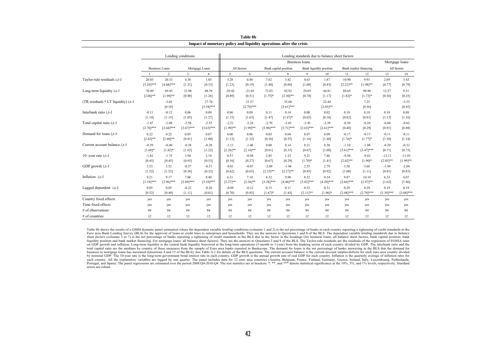|                                     | Lending conditions |                       |              |                      | Lending standards due to balance sheet factors |                       |              |                       |              |                                |              |                                      |             |                   |
|-------------------------------------|--------------------|-----------------------|--------------|----------------------|------------------------------------------------|-----------------------|--------------|-----------------------|--------------|--------------------------------|--------------|--------------------------------------|-------------|-------------------|
|                                     |                    |                       |              |                      | <b>Business loans</b>                          |                       |              |                       |              |                                |              | Mortgage loans                       |             |                   |
|                                     |                    | <b>Business Loans</b> |              | Mortgage Loans       |                                                | All factors           |              | Bank capital position |              | <b>Bank</b> liquidity position |              | Bank market financing<br>All factors |             |                   |
|                                     |                    | 2                     | 3            | $\overline{4}$       | 5                                              | 6                     | $\tau$       | 8                     | 9            | 10                             | -11          | 12                                   | 13          | 14                |
| Taylor-rule residuals $i, t$ -1     | 20.03              | 20.33                 | 4.38         | 1.05                 | 3.28                                           | 0.48                  | 7.62         | 3.42                  | 4.63         | 1.87                           | 10.90        | 9.91                                 | 2.69        | 3.43              |
|                                     | $[5.29]$ ***       | $[4.04]***$           | [1.31]       | [0.33]               | [1.23]                                         | [0.19]                | [1.40]       | [0.60]                | [1.08]       | [0.43]                         | $[2.21]$ **  | $[1.98]$ **                          | [0.77]      | [0.79]            |
| Long-term liquidity i,t-1           | 70.49              | 69.45                 | 31.96        | 48.59                | $-29.42$                                       | $-21.03$              | 72.83        | 92.92                 | 29.05        | 44.81                          | 88.65        | 90.90                                | 12.57       | 9.31              |
|                                     | $[2.06]$ **        | $[1.98]$ **           | [0.90]       | [1.26]               | [0.89]                                         | [0.51]                | $[1.75]$ *   | $[2.30]$ **           | [0.78]       | [1.17]                         | $[1.82]$ *   | $[1.73]$ *                           | [0.36]      | [0.25]            |
| (TR residuals * LT liquidity) i,t-1 |                    | $-2.02$<br>[0.18]     |              | 27.70<br>$[3.34]***$ |                                                | 21.37<br>$[2.79]$ *** |              | 35.68<br>$[3.61]$ *** |              | 22.44<br>$[2.05]$ **           |              | 7.25<br>[0.56]                       |             | $-5.55$<br>[0.45] |
| Interbank ratio $i, t$ -1           | $-0.11$            | $-0.12$               | 0.06         | 0.09                 | 0.06                                           | 0.09                  | 0.11         | 0.14                  | 0.00         | 0.02                           | 0.10         | 0.10                                 | 0.10        | 0.09              |
|                                     | [1.14]             | [1.15]                | [1.05]       | [1.27]               | [1.15]                                         | [1.63]                | [1.47]       | $[1.67]*$             | [0.03]       | [0.16]                         | [0.82]       | [0.81]                               | [1.13]      | [1.16]            |
| Total capital ratio $i, t$ -1       | $-1.47$            | $-1.48$               | $-2.58$      | $-2.55$              | $-2.21$                                        | $-2.24$               | $-2.70$      | $-2.63$               | $-2.45$      | $-2.39$                        | $-0.30$      | $-0.24$                              | $-0.60$     | $-0.62$           |
|                                     | $[2.70]$ ***       | $[2.64]***$           | $[3.67]$ *** | $[3.63]***$          | $[1.99]$ **                                    | $[1.99]$ **           | $[3.96]$ *** | $[3.71]$ ***          | $[2.63]$ *** | $[2.61]$ ***                   | [0.40]       | [0.29]                               | [0.91]      | [0.88]            |
| Demand for loans $i, t$ -1          | 0.22               | 0.22                  | 0.05         | 0.07                 | 0.06                                           | 0.06                  | 0.03         | 0.04                  | 0.07         | 0.09                           | $-0.17$      | $-0.17$                              | $-0.11$     | $-0.11$           |
|                                     | $[2.42]$ **        | $[2.40]$ **           | [0.81]       | [1.00]               | [1.13]                                         | [1.32]                | [0.36]       | [0.55]                | [1.16]       | [1.40]                         | $[1.76]$ *   | $[1.77]*$                            | [1.30]      | [1.34]            |
| Current account balance i, t-1      | $-0.39$            | $-0.40$               | $-0.38$      | $-0.28$              | $-1.11$                                        | $-1.06$               | 0.00         | 0.14                  | 0.21         | 0.30                           | $-1.10$      | $-1.08$                              | $-0.29$     | $-0.32$           |
|                                     | $[1.68]*$          | $[1.82]$ *            | [1.62]       | [1.22]               | $[2.26]$ **                                    | $[2.16]$ **           | [0.01]       | [0.33]                | [0.67]       | [1.00]                         | $[3.61]$ *** | $[3.47]$ ***                         | [0.71]      | [0.73]            |
| 10 -year rate $i, t$ -1             | $-1.82$            | $-1.75$               | 3.94         | 2.19                 | 0.37                                           | $-0.94$               | 2.85         | 1.25                  | 9.21         | 7.86                           | $-9.50$      | $-9.82$                              | $-12.11$    | $-11.93$          |
|                                     | [0.45]             | [0.45]                | [0.93]       | [0.53]               | [0.10]                                         | [0.27]                | [0.67]       | [0.29]                | $[1.70]$ *   | [1.41]                         | $[2.02]$ **  | $[1.90]*$                            | $[2.03]$ ** | $[1.99]$ **       |
| GDP growth $i, t$ -1                | 3.53               | 3.52                  | $-0.57$      | $-0.51$              | $-0.81$                                        | $-0.87$               | $-2.09$      | $-1.98$               | 2.55         | 2.79                           | 3.58         | 3.68                                 | $-1.99$     | $-2.04$           |
|                                     | [1.52]             | [1.52]                | [0.36]       | [0.32]               | [0.62]                                         | [0.65]                | $[2.23]$ **  | $[2.27]$ **           | [0.85]       | [0.92]                         | [1.08]       | [1.11]                               | [0.81]      | [0.83]            |
| Inflation $i,t-1$                   | 9.21               | 9.17                  | 7.06         | 8.40                 | 6.21                                           | 7.10                  | 8.32         | 9.98                  | 8.32         | 9.34                           | 9.87         | 10.19                                | 6.23        | 6.07              |
|                                     | $[3.18]***$        | $[2.96]$ ***          | $[2.69]$ *** | $[3.10]$ ***         | $[2.27]$ **                                    | $[2.36]^{**}$         | $[3.28]$ *** | $[4.46]$ ***          | $[3.82]***$  | $[4.20]$ ***                   | $[2.66]$ *** | $[2.47]$ **                          | [1.62]      | [1.46]            |
| Lagged dependent $i, t$ -1          | 0.05               | 0.05                  | $-0.22$      | $-0.26$              | $-0.09$                                        | $-0.12$               | 0.15         | 0.11                  | 0.32         | 0.31                           | 0.29         | 0.29                                 | 0.19        | 0.19              |
|                                     | [0.52]             | [0.49]                | [1.11]       | [0.81]               | [0.70]                                         | [0.92]                | $[1.67]*$    | [1.45]                | $[2.11]$ **  | $[1.96]$ *                     | $[2.98]$ *** | $[2.79]$ ***                         | $[3.39]***$ | $[3.68]***$       |
| Country fixed effects               | yes                | yes                   | yes          | yes                  | yes                                            | yes                   | yes          | yes                   | yes          | yes                            | yes          | yes                                  | yes         | yes               |
| Time fixed effects                  | yes                | yes                   | yes          | yes                  | yes                                            | yes                   | yes          | yes                   | yes          | yes                            | yes          | yes                                  | yes         | yes               |
| # of observations                   | 84                 | 84                    | 84           | 84                   | 84                                             | 84                    | 84           | 84                    | 84           | 84                             | 84           | 84                                   | 84          | 84                |
| $#$ of countries                    | 12                 | 12                    | 12           | 12                   | 12                                             | 12                    | 12           | 12                    | 12           | 12                             | 12           | 12                                   | 12          | 12                |

**Table 8b Impact of monetary policy and liquidity operations after the crisis**

Table 8b shows the results of a GMM dynamic panel estimation where the dependent variable lending conditions (columns 1 and 2) is the net percentage of banks in each country reporting a tightening of credit standards in th sheet factors (columns 3 to 7) is the net percentage of banks reporting a tightening of credit standards in the BLS due to the factor in the headings (for business loans: all balance sheet factors, bank capital position, b liquidity position and bank market financing. For mortgage loans: all balance sheet factors). They are the answers to Questions 2 and 9 of the BLS. The Taylor-rule residuals are the residuals of the regression of EONIA rat on GDP growth and inflation. Long-term liquidity is the central bank liquidity borrowed at the long-term operations (3-month to 1-year) from the banking sector of each country divided by GDP. The interbank ratio and the total capital ratio are the medians by country of these measures from the sample of Euro area banks reported in Bankscope. The demand for loans is the net percentage of banks answering in the BLS that the demand for business or mortgage loans has increased (Questions 4 and 13 of the BLS). See Table A.1 for details of the BLS questions. The current account balance is the current account surplus/deficits for each euro area country divid by nominal GDP. The 10-year rate is the long-term government bond interest rate in each country. GDP growth is the annual growth rate of real GDP for each country. Inflation is the quarterly average of inflation rates for each country. All the explanatory variables are lagged by one quarter. The panel includes data for 12 euro area countries (Austria, Belgium, France, Finland, Germany, Greece, Ireland, Italy, Luxembourg, Netherlands, Portugal, and Spain). The panel regressions are estimated over the period 2008:04-2010:04. The test statistics are in brackets. \*\*\*\*, and \*\*\* denote statistical significance at the 10%, 5%, and 1% levels, respectively. Sta errors are robust.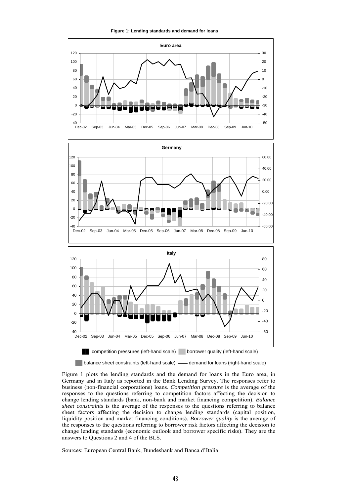**Figure 1: Lending standards and demand for loans** 







**I** balance sheet constraints (left-hand scale) **-** demand for loans (right-hand scale)

Figure 1 plots the lending standards and the demand for loans in the Euro area, in Germany and in Italy as reported in the Bank Lending Survey. The responses refer to business (non-financial corporations) loans. *Competition pressure* is the average of the responses to the questions referring to competition factors affecting the decision to change lending standards (bank, non-bank and market financing competition). *Balance sheet constraints* is the average of the responses to the questions referring to balance sheet factors affecting the decision to change lending standards (capital position, liquidity position and market financing conditions). *Borrower quality* is the average of the responses to the questions referring to borrower risk factors affecting the decision to change lending standards (economic outlook and borrower specific risks). They are the answers to Questions 2 and 4 of the BLS.

Sources: European Central Bank, Bundesbank and Banca d'Italia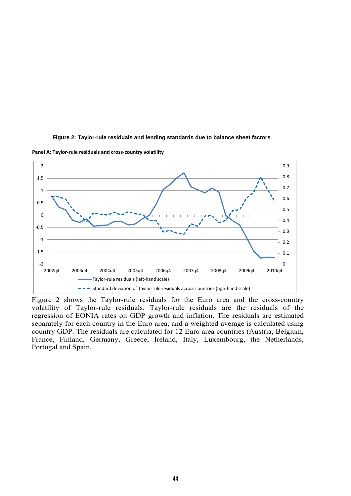

**Figure 2: Taylor-rule residuals and lending standards due to balance sheet factors** 

**Panel A: Taylor-rule residuals and cross-country volatility**

Figure 2 shows the Taylor-rule residuals for the Euro area and the cross-country volatility of Taylor-rule residuals. Taylor-rule residuals are the residuals of the regression of EONIA rates on GDP growth and inflation. The residuals are estimated separately for each country in the Euro area, and a weighted average is calculated using country GDP. The residuals are calculated for 12 Euro area countries (Austria, Belgium, France, Finland, Germany, Greece, Ireland, Italy, Luxembourg, the Netherlands, Portugal and Spain.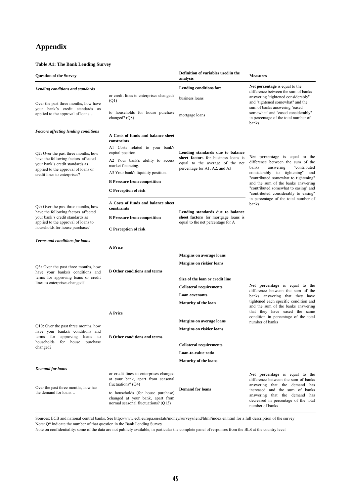# **Appendix**

#### **Table A1: The Bank Lending Survey**

| <b>Question of the Survey</b>                                                                                  |                                                                                                               | Definition of variables used in the<br>analysis                                                         | <b>Measures</b>                                                                                                                                                                                                                      |  |  |  |
|----------------------------------------------------------------------------------------------------------------|---------------------------------------------------------------------------------------------------------------|---------------------------------------------------------------------------------------------------------|--------------------------------------------------------------------------------------------------------------------------------------------------------------------------------------------------------------------------------------|--|--|--|
| Lending conditions and standards                                                                               |                                                                                                               | Lending conditions for:                                                                                 | Net percentage is equal to the                                                                                                                                                                                                       |  |  |  |
| Over the past three months, how have                                                                           | or credit lines to enterprises changed?<br>(Q1)                                                               | business loans                                                                                          | difference between the sum of banks<br>answering "tightened considerably"<br>and "tightened somewhat" and the<br>sum of banks answering "eased                                                                                       |  |  |  |
| your bank's credit standards as<br>applied to the approval of loans                                            | to households for house purchase<br>changed? $(Q8)$                                                           | mortgage loans                                                                                          | somewhat" and "eased considerably"<br>in percentage of the total number of<br>banks.                                                                                                                                                 |  |  |  |
| <b>Factors affecting lending conditions</b>                                                                    | A Costs of funds and balance sheet<br>constraints                                                             |                                                                                                         |                                                                                                                                                                                                                                      |  |  |  |
| Q2: Over the past three months, how<br>have the following factors affected<br>your bank's credit standards as  | A1 Costs related to your bank's<br>capital position.                                                          | Lending standards due to balance                                                                        |                                                                                                                                                                                                                                      |  |  |  |
|                                                                                                                | A2 Your bank's ability to access<br>market financing.                                                         | sheet factors for business loans is<br>equal to the average of the net<br>percentage for A1, A2, and A3 | Net percentage is equal to the<br>difference between the sum of the<br>banks<br>answering<br>"contributed                                                                                                                            |  |  |  |
| applied to the approval of loans or<br>credit lines to enterprises?                                            | A3 Your bank's liquidity position.                                                                            |                                                                                                         | considerably to tightening"<br>and<br>"contributed somewhat to tightening"                                                                                                                                                           |  |  |  |
|                                                                                                                | <b>B</b> Pressure from competition                                                                            |                                                                                                         | and the sum of the banks answering<br>"contributed somewhat to easing" and<br>"contributed considerably to easing"<br>in percentage of the total number of<br>banks                                                                  |  |  |  |
|                                                                                                                | C Perception of risk                                                                                          |                                                                                                         |                                                                                                                                                                                                                                      |  |  |  |
| Q9: Over the past three months, how                                                                            | A Costs of funds and balance sheet<br>constraints                                                             |                                                                                                         |                                                                                                                                                                                                                                      |  |  |  |
| have the following factors affected<br>your bank's credit standards as                                         | <b>B</b> Pressure from competition                                                                            | Lending standards due to balance<br>sheet factors for mortgage loans is                                 |                                                                                                                                                                                                                                      |  |  |  |
| applied to the approval of loans to<br>households for house purchase?                                          | C Perception of risk                                                                                          | equal to the net percentage for A                                                                       |                                                                                                                                                                                                                                      |  |  |  |
| Terms and conditions for loans                                                                                 |                                                                                                               |                                                                                                         |                                                                                                                                                                                                                                      |  |  |  |
|                                                                                                                | <b>A</b> Price                                                                                                |                                                                                                         |                                                                                                                                                                                                                                      |  |  |  |
| Q3: Over the past three months, how<br>have your banks's conditions and<br>terms for approving loans or credit |                                                                                                               | <b>Margins on average loans</b>                                                                         |                                                                                                                                                                                                                                      |  |  |  |
|                                                                                                                | <b>B</b> Other conditions and terms                                                                           | <b>Margins on riskier loans</b>                                                                         |                                                                                                                                                                                                                                      |  |  |  |
|                                                                                                                |                                                                                                               | Size of the loan or credit line                                                                         |                                                                                                                                                                                                                                      |  |  |  |
| lines to enterprises changed?                                                                                  |                                                                                                               | <b>Collateral requirements</b>                                                                          | Net percentage is equal to the                                                                                                                                                                                                       |  |  |  |
|                                                                                                                |                                                                                                               | <b>Loan</b> covenants                                                                                   | difference between the sum of the<br>banks answering that they have                                                                                                                                                                  |  |  |  |
|                                                                                                                |                                                                                                               | <b>Maturity of the loan</b>                                                                             | tightened each specific condition and<br>and the sum of the banks answering                                                                                                                                                          |  |  |  |
|                                                                                                                | <b>A</b> Price                                                                                                |                                                                                                         | that they have eased the same<br>condition in percentage of the total                                                                                                                                                                |  |  |  |
|                                                                                                                |                                                                                                               | <b>Margins on average loans</b>                                                                         | number of banks                                                                                                                                                                                                                      |  |  |  |
| Q10: Over the past three months, how<br>have your banks's conditions and                                       |                                                                                                               | <b>Margins on riskier loans</b>                                                                         |                                                                                                                                                                                                                                      |  |  |  |
| approving loans to<br>terms for<br>households<br>for house<br>purchase                                         | <b>B</b> Other conditions and terms                                                                           |                                                                                                         |                                                                                                                                                                                                                                      |  |  |  |
| changed?                                                                                                       |                                                                                                               | <b>Collateral requirements</b>                                                                          |                                                                                                                                                                                                                                      |  |  |  |
|                                                                                                                |                                                                                                               | Loan-to-value ratio                                                                                     |                                                                                                                                                                                                                                      |  |  |  |
| <b>Demand for loans</b>                                                                                        |                                                                                                               | <b>Maturity of the loans</b>                                                                            |                                                                                                                                                                                                                                      |  |  |  |
|                                                                                                                | or credit lines to enterprises changed<br>at your bank, apart from seasonal<br>fluctuations? $(Q4)$           |                                                                                                         | Net percentage is equal to the<br>difference between the sum of banks<br>answering that the demand has<br>increased and the sum of banks<br>answering that the demand has<br>decreased in percentage of the total<br>number of banks |  |  |  |
| Over the past three months, how has<br>the demand for loans                                                    | to households (for house purchase)<br>changed at your bank, apart from<br>normal seasonal fluctuations? (Q13) | <b>Demand for loans</b>                                                                                 |                                                                                                                                                                                                                                      |  |  |  |

Note: Q\* indicate the number of that question in the Bank Lending Survey Sources: ECB and national central banks. See http://www.ecb.europa.eu/stats/money/surveys/lend/html/index.en.html for a full description of the survey

Note on confidentiality: some of the data are not publicly available, in particular the complete panel of responses from the BLS at the country level